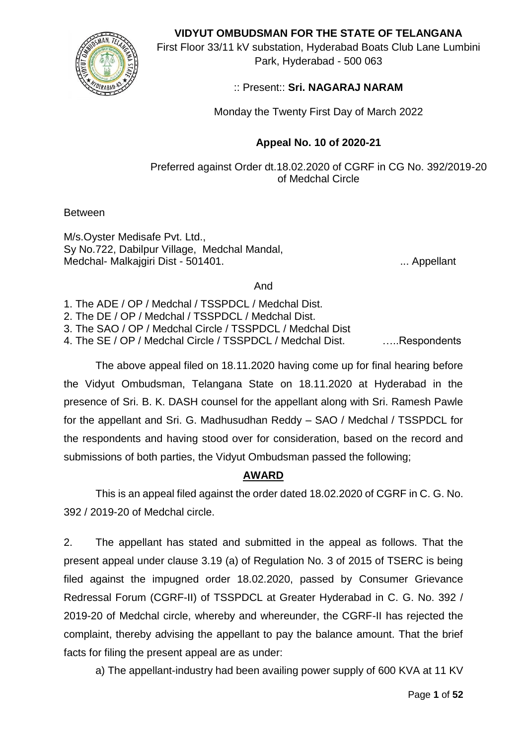

**VIDYUT OMBUDSMAN FOR THE STATE OF TELANGANA**

First Floor 33/11 kV substation, Hyderabad Boats Club Lane Lumbini Park, Hyderabad - 500 063

# :: Present:: **Sri. NAGARAJ NARAM**

Monday the Twenty First Day of March 2022

# **Appeal No. 10 of 2020-21**

Preferred against Order dt.18.02.2020 of CGRF in CG No. 392/2019-20 of Medchal Circle

Between

M/s.Oyster Medisafe Pvt. Ltd., Sy No.722, Dabilpur Village, Medchal Mandal, Medchal- Malkajgiri Dist - 501401. **In the case of the Contract Contract Contract Contract Contract Contract Contract Contract Contract Contract Contract Contract Contract Contract Contract Contract Contract Contract Contr** 

And

1. The ADE / OP / Medchal / TSSPDCL / Medchal Dist.

2. The DE / OP / Medchal / TSSPDCL / Medchal Dist.

3. The SAO / OP / Medchal Circle / TSSPDCL / Medchal Dist

4. The SE / OP / Medchal Circle / TSSPDCL / Medchal Dist. …..Respondents

 The above appeal filed on 18.11.2020 having come up for final hearing before the Vidyut Ombudsman, Telangana State on 18.11.2020 at Hyderabad in the presence of Sri. B. K. DASH counsel for the appellant along with Sri. Ramesh Pawle for the appellant and Sri. G. Madhusudhan Reddy – SAO / Medchal / TSSPDCL for the respondents and having stood over for consideration, based on the record and submissions of both parties, the Vidyut Ombudsman passed the following;

# **AWARD**

This is an appeal filed against the order dated 18.02.2020 of CGRF in C. G. No. 392 / 2019-20 of Medchal circle.

2. The appellant has stated and submitted in the appeal as follows. That the present appeal under clause 3.19 (a) of Regulation No. 3 of 2015 of TSERC is being filed against the impugned order 18.02.2020, passed by Consumer Grievance Redressal Forum (CGRF-II) of TSSPDCL at Greater Hyderabad in C. G. No. 392 / 2019-20 of Medchal circle, whereby and whereunder, the CGRF-II has rejected the complaint, thereby advising the appellant to pay the balance amount. That the brief facts for filing the present appeal are as under:

a) The appellant-industry had been availing power supply of 600 KVA at 11 KV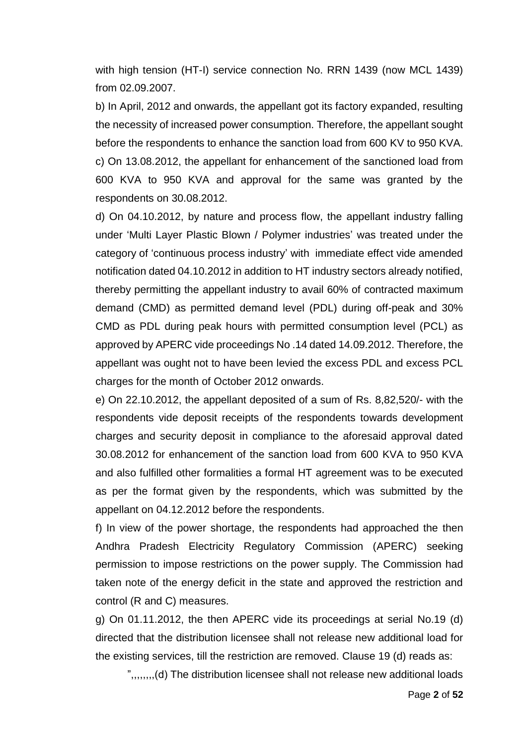with high tension (HT-I) service connection No. RRN 1439 (now MCL 1439) from 02.09.2007.

b) In April, 2012 and onwards, the appellant got its factory expanded, resulting the necessity of increased power consumption. Therefore, the appellant sought before the respondents to enhance the sanction load from 600 KV to 950 KVA. c) On 13.08.2012, the appellant for enhancement of the sanctioned load from 600 KVA to 950 KVA and approval for the same was granted by the respondents on 30.08.2012.

d) On 04.10.2012, by nature and process flow, the appellant industry falling under 'Multi Layer Plastic Blown / Polymer industries' was treated under the category of 'continuous process industry' with immediate effect vide amended notification dated 04.10.2012 in addition to HT industry sectors already notified, thereby permitting the appellant industry to avail 60% of contracted maximum demand (CMD) as permitted demand level (PDL) during off-peak and 30% CMD as PDL during peak hours with permitted consumption level (PCL) as approved by APERC vide proceedings No .14 dated 14.09.2012. Therefore, the appellant was ought not to have been levied the excess PDL and excess PCL charges for the month of October 2012 onwards.

e) On 22.10.2012, the appellant deposited of a sum of Rs. 8,82,520/- with the respondents vide deposit receipts of the respondents towards development charges and security deposit in compliance to the aforesaid approval dated 30.08.2012 for enhancement of the sanction load from 600 KVA to 950 KVA and also fulfilled other formalities a formal HT agreement was to be executed as per the format given by the respondents, which was submitted by the appellant on 04.12.2012 before the respondents.

f) In view of the power shortage, the respondents had approached the then Andhra Pradesh Electricity Regulatory Commission (APERC) seeking permission to impose restrictions on the power supply. The Commission had taken note of the energy deficit in the state and approved the restriction and control (R and C) measures.

g) On 01.11.2012, the then APERC vide its proceedings at serial No.19 (d) directed that the distribution licensee shall not release new additional load for the existing services, till the restriction are removed. Clause 19 (d) reads as:

",,,,,,,,(d) The distribution licensee shall not release new additional loads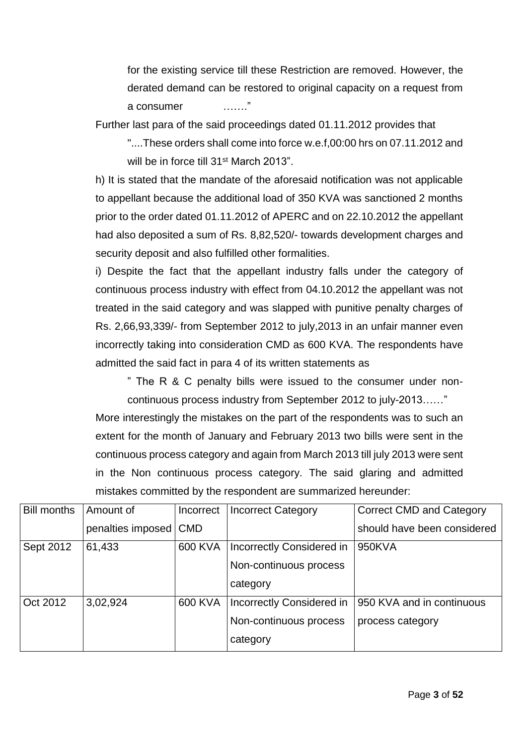for the existing service till these Restriction are removed. However, the derated demand can be restored to original capacity on a request from a consumer ……."

Further last para of the said proceedings dated 01.11.2012 provides that

"....These orders shall come into force w.e.f,00:00 hrs on 07.11.2012 and will be in force till 31<sup>st</sup> March 2013"

h) It is stated that the mandate of the aforesaid notification was not applicable to appellant because the additional load of 350 KVA was sanctioned 2 months prior to the order dated 01.11.2012 of APERC and on 22.10.2012 the appellant had also deposited a sum of Rs. 8,82,520/- towards development charges and security deposit and also fulfilled other formalities.

i) Despite the fact that the appellant industry falls under the category of continuous process industry with effect from 04.10.2012 the appellant was not treated in the said category and was slapped with punitive penalty charges of Rs. 2,66,93,339/- from September 2012 to july,2013 in an unfair manner even incorrectly taking into consideration CMD as 600 KVA. The respondents have admitted the said fact in para 4 of its written statements as

" The R & C penalty bills were issued to the consumer under noncontinuous process industry from September 2012 to july-2013……"

More interestingly the mistakes on the part of the respondents was to such an extent for the month of January and February 2013 two bills were sent in the continuous process category and again from March 2013 till july 2013 were sent in the Non continuous process category. The said glaring and admitted mistakes committed by the respondent are summarized hereunder:

| <b>Bill months</b> | Amount of         | Incorrect  | <b>Incorrect Category</b>        | <b>Correct CMD and Category</b> |
|--------------------|-------------------|------------|----------------------------------|---------------------------------|
|                    | penalties imposed | <b>CMD</b> |                                  | should have been considered     |
| Sept 2012          | 61,433            | 600 KVA    | <b>Incorrectly Considered in</b> | 950KVA                          |
|                    |                   |            | Non-continuous process           |                                 |
|                    |                   |            | category                         |                                 |
| Oct 2012           | 3,02,924          | 600 KVA    | Incorrectly Considered in        | 950 KVA and in continuous       |
|                    |                   |            | Non-continuous process           | process category                |
|                    |                   |            | category                         |                                 |
|                    |                   |            |                                  |                                 |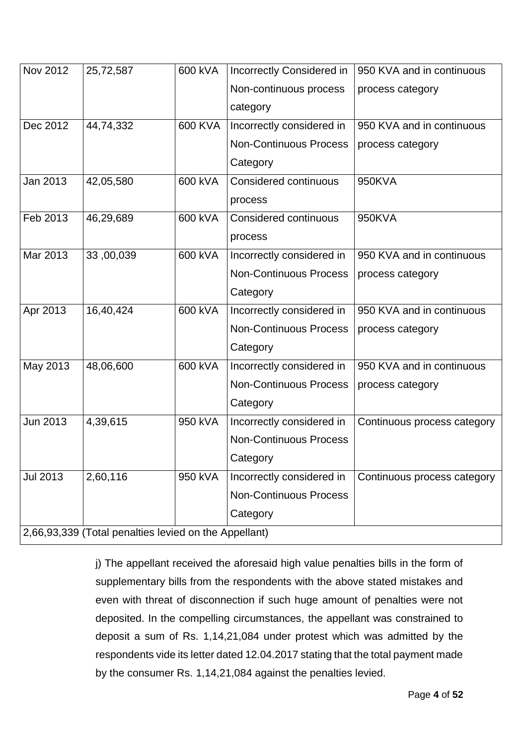| Nov 2012        | 25,72,587                                             | 600 kVA | Incorrectly Considered in     | 950 KVA and in continuous   |
|-----------------|-------------------------------------------------------|---------|-------------------------------|-----------------------------|
|                 |                                                       |         | Non-continuous process        | process category            |
|                 |                                                       |         | category                      |                             |
| Dec 2012        | 44,74,332                                             | 600 KVA | Incorrectly considered in     | 950 KVA and in continuous   |
|                 |                                                       |         | <b>Non-Continuous Process</b> | process category            |
|                 |                                                       |         | Category                      |                             |
| Jan 2013        | 42,05,580                                             | 600 kVA | Considered continuous         | 950KVA                      |
|                 |                                                       |         | process                       |                             |
| Feb 2013        | 46,29,689                                             | 600 kVA | Considered continuous         | 950KVA                      |
|                 |                                                       |         | process                       |                             |
| Mar 2013        | 33,00,039                                             | 600 kVA | Incorrectly considered in     | 950 KVA and in continuous   |
|                 |                                                       |         | <b>Non-Continuous Process</b> | process category            |
|                 |                                                       |         | Category                      |                             |
| Apr 2013        | 16,40,424                                             | 600 kVA | Incorrectly considered in     | 950 KVA and in continuous   |
|                 |                                                       |         | <b>Non-Continuous Process</b> | process category            |
|                 |                                                       |         | Category                      |                             |
| May 2013        | 48,06,600                                             | 600 kVA | Incorrectly considered in     | 950 KVA and in continuous   |
|                 |                                                       |         | <b>Non-Continuous Process</b> | process category            |
|                 |                                                       |         | Category                      |                             |
| Jun 2013        | 4,39,615                                              | 950 kVA | Incorrectly considered in     | Continuous process category |
|                 |                                                       |         | <b>Non-Continuous Process</b> |                             |
|                 |                                                       |         | Category                      |                             |
| <b>Jul 2013</b> | 2,60,116                                              | 950 kVA | Incorrectly considered in     | Continuous process category |
|                 |                                                       |         | <b>Non-Continuous Process</b> |                             |
|                 |                                                       |         | Category                      |                             |
|                 | 2,66,93,339 (Total penalties levied on the Appellant) |         |                               |                             |

j) The appellant received the aforesaid high value penalties bills in the form of supplementary bills from the respondents with the above stated mistakes and even with threat of disconnection if such huge amount of penalties were not deposited. In the compelling circumstances, the appellant was constrained to deposit a sum of Rs. 1,14,21,084 under protest which was admitted by the respondents vide its letter dated 12.04.2017 stating that the total payment made by the consumer Rs. 1,14,21,084 against the penalties levied.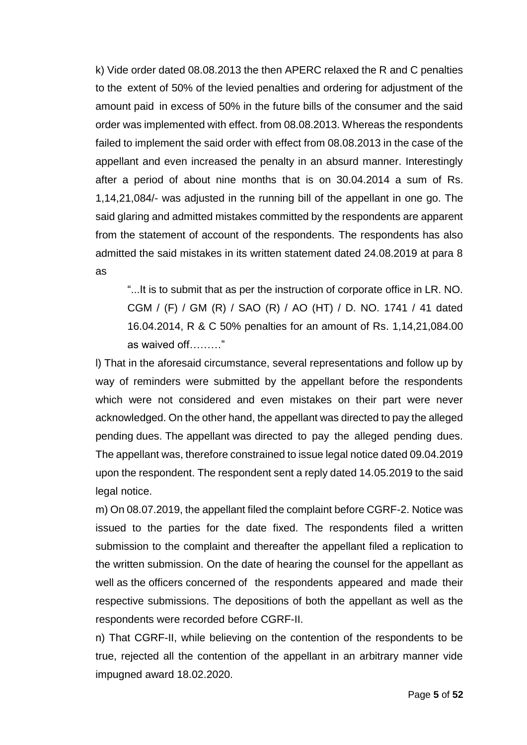k) Vide order dated 08.08.2013 the then APERC relaxed the R and C penalties to the extent of 50% of the levied penalties and ordering for adjustment of the amount paid in excess of 50% in the future bills of the consumer and the said order was implemented with effect. from 08.08.2013. Whereas the respondents failed to implement the said order with effect from 08.08.2013 in the case of the appellant and even increased the penalty in an absurd manner. Interestingly after a period of about nine months that is on 30.04.2014 a sum of Rs. 1,14,21,084/- was adjusted in the running bill of the appellant in one go. The said glaring and admitted mistakes committed by the respondents are apparent from the statement of account of the respondents. The respondents has also admitted the said mistakes in its written statement dated 24.08.2019 at para 8 as

"...It is to submit that as per the instruction of corporate office in LR. NO. CGM / (F) / GM (R) / SAO (R) / AO (HT) / D. NO. 1741 / 41 dated 16.04.2014, R & C 50% penalties for an amount of Rs. 1,14,21,084.00 as waived off………"

l) That in the aforesaid circumstance, several representations and follow up by way of reminders were submitted by the appellant before the respondents which were not considered and even mistakes on their part were never acknowledged. On the other hand, the appellant was directed to pay the alleged pending dues. The appellant was directed to pay the alleged pending dues. The appellant was, therefore constrained to issue legal notice dated 09.04.2019 upon the respondent. The respondent sent a reply dated 14.05.2019 to the said legal notice.

m) On 08.07.2019, the appellant filed the complaint before CGRF-2. Notice was issued to the parties for the date fixed. The respondents filed a written submission to the complaint and thereafter the appellant filed a replication to the written submission. On the date of hearing the counsel for the appellant as well as the officers concerned of the respondents appeared and made their respective submissions. The depositions of both the appellant as well as the respondents were recorded before CGRF-II.

n) That CGRF-II, while believing on the contention of the respondents to be true, rejected all the contention of the appellant in an arbitrary manner vide impugned award 18.02.2020.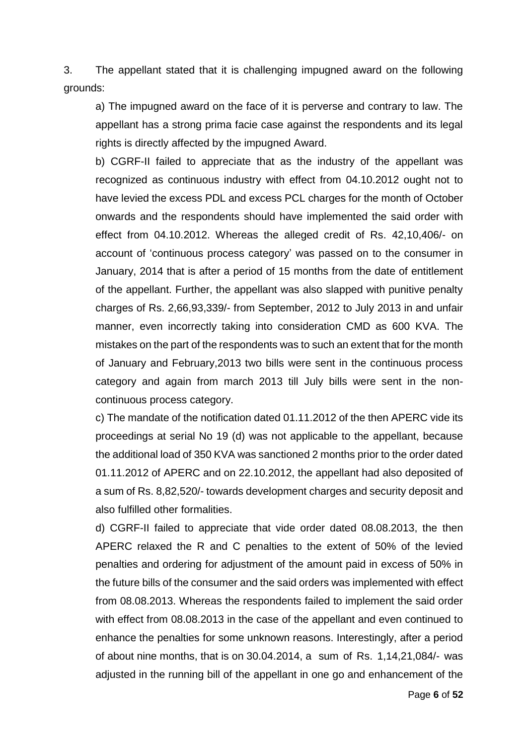3. The appellant stated that it is challenging impugned award on the following grounds:

a) The impugned award on the face of it is perverse and contrary to law. The appellant has a strong prima facie case against the respondents and its legal rights is directly affected by the impugned Award.

b) CGRF-II failed to appreciate that as the industry of the appellant was recognized as continuous industry with effect from 04.10.2012 ought not to have levied the excess PDL and excess PCL charges for the month of October onwards and the respondents should have implemented the said order with effect from 04.10.2012. Whereas the alleged credit of Rs. 42,10,406/- on account of 'continuous process category' was passed on to the consumer in January, 2014 that is after a period of 15 months from the date of entitlement of the appellant. Further, the appellant was also slapped with punitive penalty charges of Rs. 2,66,93,339/- from September, 2012 to July 2013 in and unfair manner, even incorrectly taking into consideration CMD as 600 KVA. The mistakes on the part of the respondents was to such an extent that for the month of January and February,2013 two bills were sent in the continuous process category and again from march 2013 till July bills were sent in the noncontinuous process category.

c) The mandate of the notification dated 01.11.2012 of the then APERC vide its proceedings at serial No 19 (d) was not applicable to the appellant, because the additional load of 350 KVA was sanctioned 2 months prior to the order dated 01.11.2012 of APERC and on 22.10.2012, the appellant had also deposited of a sum of Rs. 8,82,520/- towards development charges and security deposit and also fulfilled other formalities.

d) CGRF-II failed to appreciate that vide order dated 08.08.2013, the then APERC relaxed the R and C penalties to the extent of 50% of the levied penalties and ordering for adjustment of the amount paid in excess of 50% in the future bills of the consumer and the said orders was implemented with effect from 08.08.2013. Whereas the respondents failed to implement the said order with effect from 08.08.2013 in the case of the appellant and even continued to enhance the penalties for some unknown reasons. Interestingly, after a period of about nine months, that is on 30.04.2014, a sum of Rs. 1,14,21,084/- was adjusted in the running bill of the appellant in one go and enhancement of the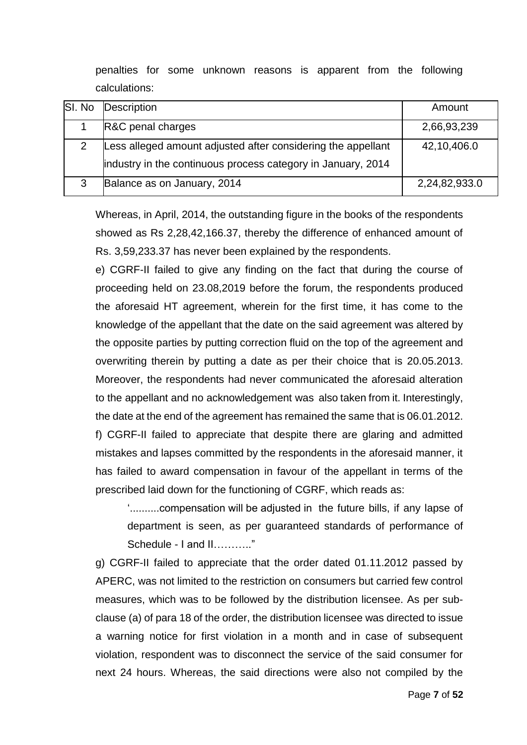penalties for some unknown reasons is apparent from the following calculations:

| SI. No | Description                                                  | Amount        |
|--------|--------------------------------------------------------------|---------------|
|        | R&C penal charges                                            | 2,66,93,239   |
| 2      | Less alleged amount adjusted after considering the appellant | 42,10,406.0   |
|        | industry in the continuous process category in January, 2014 |               |
| 3      | Balance as on January, 2014                                  | 2,24,82,933.0 |

Whereas, in April, 2014, the outstanding figure in the books of the respondents showed as Rs 2,28,42,166.37, thereby the difference of enhanced amount of Rs. 3,59,233.37 has never been explained by the respondents.

e) CGRF-II failed to give any finding on the fact that during the course of proceeding held on 23.08,2019 before the forum, the respondents produced the aforesaid HT agreement, wherein for the first time, it has come to the knowledge of the appellant that the date on the said agreement was altered by the opposite parties by putting correction fluid on the top of the agreement and overwriting therein by putting a date as per their choice that is 20.05.2013. Moreover, the respondents had never communicated the aforesaid alteration to the appellant and no acknowledgement was also taken from it. Interestingly, the date at the end of the agreement has remained the same that is 06.01.2012. f) CGRF-II failed to appreciate that despite there are glaring and admitted mistakes and lapses committed by the respondents in the aforesaid manner, it has failed to award compensation in favour of the appellant in terms of the prescribed laid down for the functioning of CGRF, which reads as:

'..........compensation will be adjusted in the future bills, if any lapse of department is seen, as per guaranteed standards of performance of Schedule - I and II……….."

g) CGRF-II failed to appreciate that the order dated 01.11.2012 passed by APERC, was not limited to the restriction on consumers but carried few control measures, which was to be followed by the distribution licensee. As per subclause (a) of para 18 of the order, the distribution licensee was directed to issue a warning notice for first violation in a month and in case of subsequent violation, respondent was to disconnect the service of the said consumer for next 24 hours. Whereas, the said directions were also not compiled by the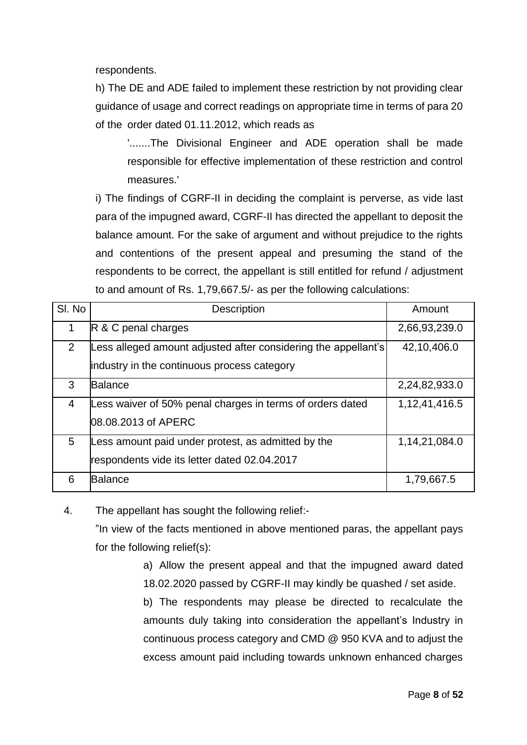respondents.

h) The DE and ADE failed to implement these restriction by not providing clear guidance of usage and correct readings on appropriate time in terms of para 20 of the order dated 01.11.2012, which reads as

'.......The Divisional Engineer and ADE operation shall be made responsible for effective implementation of these restriction and control measures.'

i) The findings of CGRF-II in deciding the complaint is perverse, as vide last para of the impugned award, CGRF-II has directed the appellant to deposit the balance amount. For the sake of argument and without prejudice to the rights and contentions of the present appeal and presuming the stand of the respondents to be correct, the appellant is still entitled for refund / adjustment to and amount of Rs. 1,79,667.5/- as per the following calculations:

| SI. No         | <b>Description</b>                                                                                            | Amount        |
|----------------|---------------------------------------------------------------------------------------------------------------|---------------|
| 1              | R & C penal charges                                                                                           | 2,66,93,239.0 |
| $\overline{2}$ | Less alleged amount adjusted after considering the appellant's<br>industry in the continuous process category | 42,10,406.0   |
| 3              | <b>Balance</b>                                                                                                | 2,24,82,933.0 |
| $\overline{4}$ | Less waiver of 50% penal charges in terms of orders dated<br>08.08.2013 of APERC                              | 1,12,41,416.5 |
| 5              | Less amount paid under protest, as admitted by the<br>respondents vide its letter dated 02.04.2017            | 1,14,21,084.0 |
| 6              | <b>Balance</b>                                                                                                | 1,79,667.5    |

4. The appellant has sought the following relief:-

"In view of the facts mentioned in above mentioned paras, the appellant pays for the following relief(s):

> a) Allow the present appeal and that the impugned award dated 18.02.2020 passed by CGRF-II may kindly be quashed / set aside.

> b) The respondents may please be directed to recalculate the amounts duly taking into consideration the appellant's Industry in continuous process category and CMD @ 950 KVA and to adjust the excess amount paid including towards unknown enhanced charges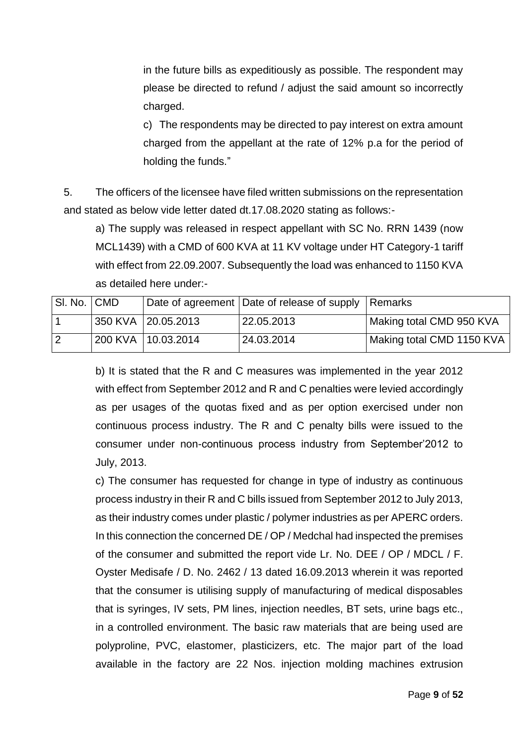in the future bills as expeditiously as possible. The respondent may please be directed to refund / adjust the said amount so incorrectly charged.

c) The respondents may be directed to pay interest on extra amount charged from the appellant at the rate of 12% p.a for the period of holding the funds."

5. The officers of the licensee have filed written submissions on the representation and stated as below vide letter dated dt.17.08.2020 stating as follows:-

a) The supply was released in respect appellant with SC No. RRN 1439 (now MCL1439) with a CMD of 600 KVA at 11 KV voltage under HT Category-1 tariff with effect from 22.09.2007. Subsequently the load was enhanced to 1150 KVA as detailed here under:-

| SI. No. CMD    |                    | Date of agreement Date of release of supply Remarks |                           |
|----------------|--------------------|-----------------------------------------------------|---------------------------|
|                | 350 KVA 20.05.2013 | 22.05.2013                                          | Making total CMD 950 KVA  |
| $\overline{2}$ | 200 KVA 10.03.2014 | 24.03.2014                                          | Making total CMD 1150 KVA |

b) It is stated that the R and C measures was implemented in the year 2012 with effect from September 2012 and R and C penalties were levied accordingly as per usages of the quotas fixed and as per option exercised under non continuous process industry. The R and C penalty bills were issued to the consumer under non-continuous process industry from September'2012 to July, 2013.

c) The consumer has requested for change in type of industry as continuous process industry in their R and C bills issued from September 2012 to July 2013, as their industry comes under plastic / polymer industries as per APERC orders. In this connection the concerned DE / OP / Medchal had inspected the premises of the consumer and submitted the report vide Lr. No. DEE / OP / MDCL / F. Oyster Medisafe / D. No. 2462 / 13 dated 16.09.2013 wherein it was reported that the consumer is utilising supply of manufacturing of medical disposables that is syringes, IV sets, PM lines, injection needles, BT sets, urine bags etc., in a controlled environment. The basic raw materials that are being used are polyproline, PVC, elastomer, plasticizers, etc. The major part of the load available in the factory are 22 Nos. injection molding machines extrusion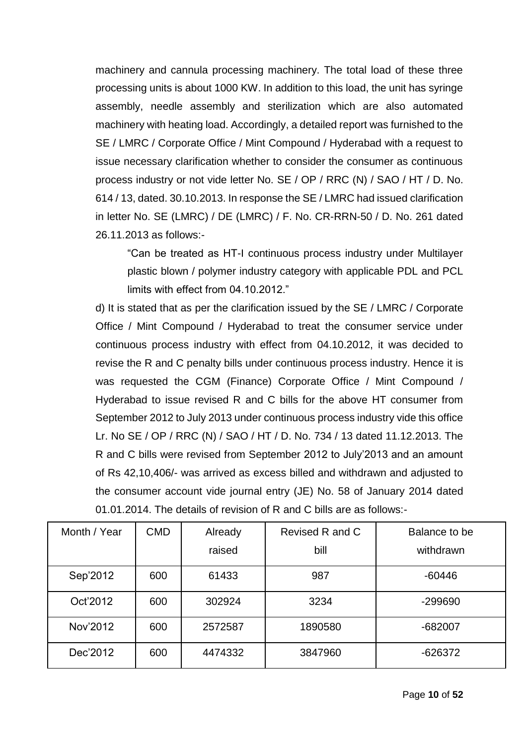machinery and cannula processing machinery. The total load of these three processing units is about 1000 KW. In addition to this load, the unit has syringe assembly, needle assembly and sterilization which are also automated machinery with heating load. Accordingly, a detailed report was furnished to the SE / LMRC / Corporate Office / Mint Compound / Hyderabad with a request to issue necessary clarification whether to consider the consumer as continuous process industry or not vide letter No. SE / OP / RRC (N) / SAO / HT / D. No. 614 / 13, dated. 30.10.2013. In response the SE / LMRC had issued clarification in letter No. SE (LMRC) / DE (LMRC) / F. No. CR-RRN-50 / D. No. 261 dated 26.11.2013 as follows:-

"Can be treated as HT-I continuous process industry under Multilayer plastic blown / polymer industry category with applicable PDL and PCL limits with effect from 04.10.2012."

d) It is stated that as per the clarification issued by the SE / LMRC / Corporate Office / Mint Compound / Hyderabad to treat the consumer service under continuous process industry with effect from 04.10.2012, it was decided to revise the R and C penalty bills under continuous process industry. Hence it is was requested the CGM (Finance) Corporate Office / Mint Compound / Hyderabad to issue revised R and C bills for the above HT consumer from September 2012 to July 2013 under continuous process industry vide this office Lr. No SE / OP / RRC (N) / SAO / HT / D. No. 734 / 13 dated 11.12.2013. The R and C bills were revised from September 2012 to July'2013 and an amount of Rs 42,10,406/- was arrived as excess billed and withdrawn and adjusted to the consumer account vide journal entry (JE) No. 58 of January 2014 dated 01.01.2014. The details of revision of R and C bills are as follows:-

| Month / Year | <b>CMD</b> | Already | Revised R and C | Balance to be |
|--------------|------------|---------|-----------------|---------------|
|              |            | raised  | bill            | withdrawn     |
| Sep'2012     | 600        | 61433   | 987             | $-60446$      |
| Oct'2012     | 600        | 302924  | 3234            | -299690       |
| Nov'2012     | 600        | 2572587 | 1890580         | $-682007$     |
| Dec'2012     | 600        | 4474332 | 3847960         | $-626372$     |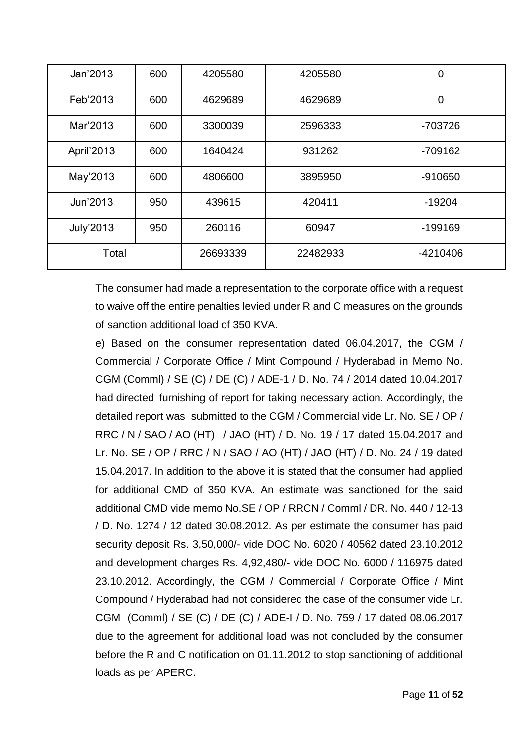| Jan'2013         | 600 | 4205580  | 4205580  | $\overline{0}$ |
|------------------|-----|----------|----------|----------------|
| Feb'2013         | 600 | 4629689  | 4629689  | $\overline{0}$ |
| Mar'2013         | 600 | 3300039  | 2596333  | -703726        |
| April'2013       | 600 | 1640424  | 931262   | $-709162$      |
| May'2013         | 600 | 4806600  | 3895950  | -910650        |
| Jun'2013         | 950 | 439615   | 420411   | $-19204$       |
| <b>July'2013</b> | 950 | 260116   | 60947    | $-199169$      |
| Total            |     | 26693339 | 22482933 | -4210406       |

The consumer had made a representation to the corporate office with a request to waive off the entire penalties levied under R and C measures on the grounds of sanction additional load of 350 KVA.

e) Based on the consumer representation dated 06.04.2017, the CGM / Commercial / Corporate Office / Mint Compound / Hyderabad in Memo No. CGM (Comml) / SE (C) / DE (C) / ADE-1 / D. No. 74 / 2014 dated 10.04.2017 had directed furnishing of report for taking necessary action. Accordingly, the detailed report was submitted to the CGM / Commercial vide Lr. No. SE / OP / RRC / N / SAO / AO (HT) / JAO (HT) / D. No. 19 / 17 dated 15.04.2017 and Lr. No. SE / OP / RRC / N / SAO / AO (HT) / JAO (HT) / D. No. 24 / 19 dated 15.04.2017. In addition to the above it is stated that the consumer had applied for additional CMD of 350 KVA. An estimate was sanctioned for the said additional CMD vide memo No.SE / OP / RRCN / Comml / DR. No. 440 / 12-13 / D. No. 1274 / 12 dated 30.08.2012. As per estimate the consumer has paid security deposit Rs. 3,50,000/- vide DOC No. 6020 / 40562 dated 23.10.2012 and development charges Rs. 4,92,480/- vide DOC No. 6000 / 116975 dated 23.10.2012. Accordingly, the CGM / Commercial / Corporate Office / Mint Compound / Hyderabad had not considered the case of the consumer vide Lr. CGM (Comml) / SE (C) / DE (C) / ADE-I / D. No. 759 / 17 dated 08.06.2017 due to the agreement for additional load was not concluded by the consumer before the R and C notification on 01.11.2012 to stop sanctioning of additional loads as per APERC.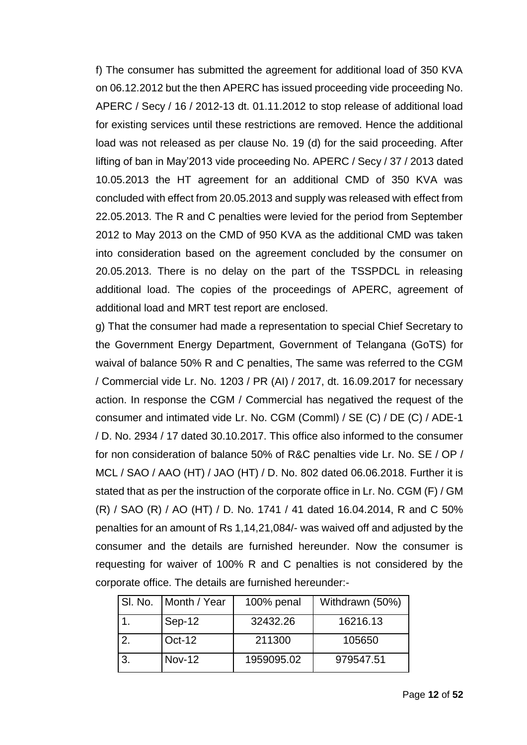f) The consumer has submitted the agreement for additional load of 350 KVA on 06.12.2012 but the then APERC has issued proceeding vide proceeding No. APERC / Secy / 16 / 2012-13 dt. 01.11.2012 to stop release of additional load for existing services until these restrictions are removed. Hence the additional load was not released as per clause No. 19 (d) for the said proceeding. After lifting of ban in May'2013 vide proceeding No. APERC / Secy / 37 / 2013 dated 10.05.2013 the HT agreement for an additional CMD of 350 KVA was concluded with effect from 20.05.2013 and supply was released with effect from 22.05.2013. The R and C penalties were levied for the period from September 2012 to May 2013 on the CMD of 950 KVA as the additional CMD was taken into consideration based on the agreement concluded by the consumer on 20.05.2013. There is no delay on the part of the TSSPDCL in releasing additional load. The copies of the proceedings of APERC, agreement of additional load and MRT test report are enclosed.

g) That the consumer had made a representation to special Chief Secretary to the Government Energy Department, Government of Telangana (GoTS) for waival of balance 50% R and C penalties, The same was referred to the CGM / Commercial vide Lr. No. 1203 / PR (AI) / 2017, dt. 16.09.2017 for necessary action. In response the CGM / Commercial has negatived the request of the consumer and intimated vide Lr. No. CGM (Comml) / SE (C) / DE (C) / ADE-1 / D. No. 2934 / 17 dated 30.10.2017. This office also informed to the consumer for non consideration of balance 50% of R&C penalties vide Lr. No. SE / OP / MCL / SAO / AAO (HT) / JAO (HT) / D. No. 802 dated 06.06.2018. Further it is stated that as per the instruction of the corporate office in Lr. No. CGM (F) / GM (R) / SAO (R) / AO (HT) / D. No. 1741 / 41 dated 16.04.2014, R and C 50% penalties for an amount of Rs 1,14,21,084/- was waived off and adjusted by the consumer and the details are furnished hereunder. Now the consumer is requesting for waiver of 100% R and C penalties is not considered by the corporate office. The details are furnished hereunder:-

| SI. No.   Month / Year | 100% penal | Withdrawn (50%) |
|------------------------|------------|-----------------|
| Sep-12                 | 32432.26   | 16216.13        |
| <b>Oct-12</b>          | 211300     | 105650          |
| <b>Nov-12</b>          | 1959095.02 | 979547.51       |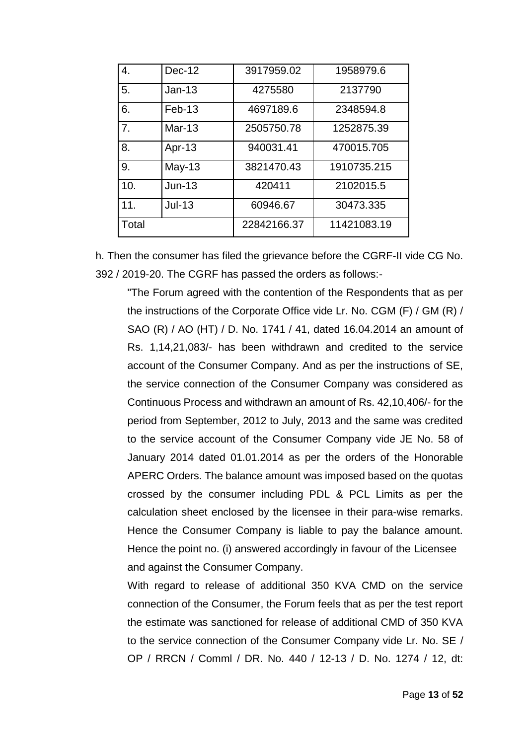| 4.    | $Dec-12$      | 3917959.02  | 1958979.6   |
|-------|---------------|-------------|-------------|
| 5.    | $Jan-13$      | 4275580     | 2137790     |
| 6.    | $Feb-13$      | 4697189.6   | 2348594.8   |
| 7.    | <b>Mar-13</b> | 2505750.78  | 1252875.39  |
| 8.    | Apr-13        | 940031.41   | 470015.705  |
| 9.    | $May-13$      | 3821470.43  | 1910735.215 |
| 10.   | $Jun-13$      | 420411      | 2102015.5   |
| 11.   | $Jul-13$      | 60946.67    | 30473.335   |
| Total |               | 22842166.37 | 11421083.19 |

h. Then the consumer has filed the grievance before the CGRF-II vide CG No. 392 / 2019-20. The CGRF has passed the orders as follows:-

"The Forum agreed with the contention of the Respondents that as per the instructions of the Corporate Office vide Lr. No. CGM (F) / GM (R) / SAO (R) / AO (HT) / D. No. 1741 / 41, dated 16.04.2014 an amount of Rs. 1,14,21,083/- has been withdrawn and credited to the service account of the Consumer Company. And as per the instructions of SE, the service connection of the Consumer Company was considered as Continuous Process and withdrawn an amount of Rs. 42,10,406/- for the period from September, 2012 to July, 2013 and the same was credited to the service account of the Consumer Company vide JE No. 58 of January 2014 dated 01.01.2014 as per the orders of the Honorable APERC Orders. The balance amount was imposed based on the quotas crossed by the consumer including PDL & PCL Limits as per the calculation sheet enclosed by the licensee in their para-wise remarks. Hence the Consumer Company is liable to pay the balance amount. Hence the point no. (i) answered accordingly in favour of the Licensee and against the Consumer Company.

With regard to release of additional 350 KVA CMD on the service connection of the Consumer, the Forum feels that as per the test report the estimate was sanctioned for release of additional CMD of 350 KVA to the service connection of the Consumer Company vide Lr. No. SE / OP / RRCN / Comml / DR. No. 440 / 12-13 / D. No. 1274 / 12, dt: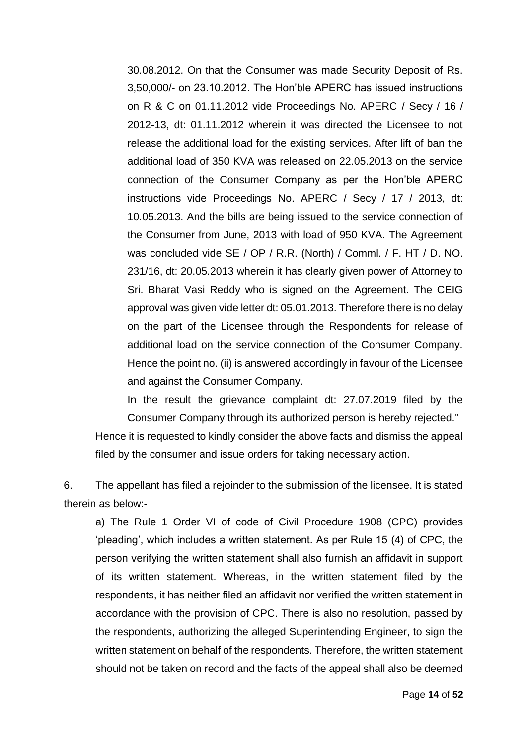30.08.2012. On that the Consumer was made Security Deposit of Rs. 3,50,000/- on 23.10.2012. The Hon'ble APERC has issued instructions on R & C on 01.11.2012 vide Proceedings No. APERC / Secy / 16 / 2012-13, dt: 01.11.2012 wherein it was directed the Licensee to not release the additional load for the existing services. After lift of ban the additional load of 350 KVA was released on 22.05.2013 on the service connection of the Consumer Company as per the Hon'ble APERC instructions vide Proceedings No. APERC / Secy / 17 / 2013, dt: 10.05.2013. And the bills are being issued to the service connection of the Consumer from June, 2013 with load of 950 KVA. The Agreement was concluded vide SE / OP / R.R. (North) / Comml. / F. HT / D. NO. 231/16, dt: 20.05.2013 wherein it has clearly given power of Attorney to Sri. Bharat Vasi Reddy who is signed on the Agreement. The CEIG approval was given vide letter dt: 05.01.2013. Therefore there is no delay on the part of the Licensee through the Respondents for release of additional load on the service connection of the Consumer Company. Hence the point no. (ii) is answered accordingly in favour of the Licensee and against the Consumer Company.

In the result the grievance complaint dt: 27.07.2019 filed by the Consumer Company through its authorized person is hereby rejected."

Hence it is requested to kindly consider the above facts and dismiss the appeal filed by the consumer and issue orders for taking necessary action.

6. The appellant has filed a rejoinder to the submission of the licensee. It is stated therein as below:-

a) The Rule 1 Order VI of code of Civil Procedure 1908 (CPC) provides 'pleading', which includes a written statement. As per Rule 15 (4) of CPC, the person verifying the written statement shall also furnish an affidavit in support of its written statement. Whereas, in the written statement filed by the respondents, it has neither filed an affidavit nor verified the written statement in accordance with the provision of CPC. There is also no resolution, passed by the respondents, authorizing the alleged Superintending Engineer, to sign the written statement on behalf of the respondents. Therefore, the written statement should not be taken on record and the facts of the appeal shall also be deemed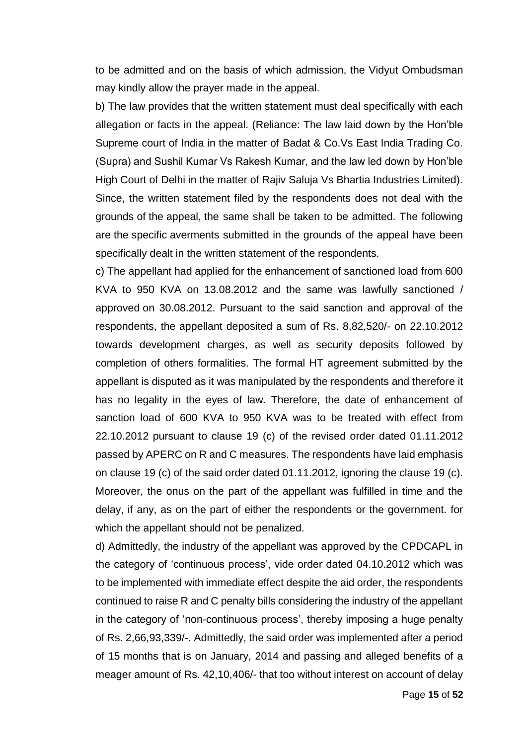to be admitted and on the basis of which admission, the Vidyut Ombudsman may kindly allow the prayer made in the appeal.

b) The law provides that the written statement must deal specifically with each allegation or facts in the appeal. (Reliance: The law laid down by the Hon'ble Supreme court of India in the matter of Badat & Co.Vs East India Trading Co. (Supra) and Sushil Kumar Vs Rakesh Kumar, and the law led down by Hon'ble High Court of Delhi in the matter of Rajiv Saluja Vs Bhartia Industries Limited). Since, the written statement filed by the respondents does not deal with the grounds of the appeal, the same shall be taken to be admitted. The following are the specific averments submitted in the grounds of the appeal have been specifically dealt in the written statement of the respondents.

c) The appellant had applied for the enhancement of sanctioned load from 600 KVA to 950 KVA on 13.08.2012 and the same was lawfully sanctioned / approved on 30.08.2012. Pursuant to the said sanction and approval of the respondents, the appellant deposited a sum of Rs. 8,82,520/- on 22.10.2012 towards development charges, as well as security deposits followed by completion of others formalities. The formal HT agreement submitted by the appellant is disputed as it was manipulated by the respondents and therefore it has no legality in the eyes of law. Therefore, the date of enhancement of sanction load of 600 KVA to 950 KVA was to be treated with effect from 22.10.2012 pursuant to clause 19 (c) of the revised order dated 01.11.2012 passed by APERC on R and C measures. The respondents have laid emphasis on clause 19 (c) of the said order dated 01.11.2012, ignoring the clause 19 (c). Moreover, the onus on the part of the appellant was fulfilled in time and the delay, if any, as on the part of either the respondents or the government. for which the appellant should not be penalized.

d) Admittedly, the industry of the appellant was approved by the CPDCAPL in the category of 'continuous process', vide order dated 04.10.2012 which was to be implemented with immediate effect despite the aid order, the respondents continued to raise R and C penalty bills considering the industry of the appellant in the category of 'non-continuous process', thereby imposing a huge penalty of Rs. 2,66,93,339/-. Admittedly, the said order was implemented after a period of 15 months that is on January, 2014 and passing and alleged benefits of a meager amount of Rs. 42,10,406/- that too without interest on account of delay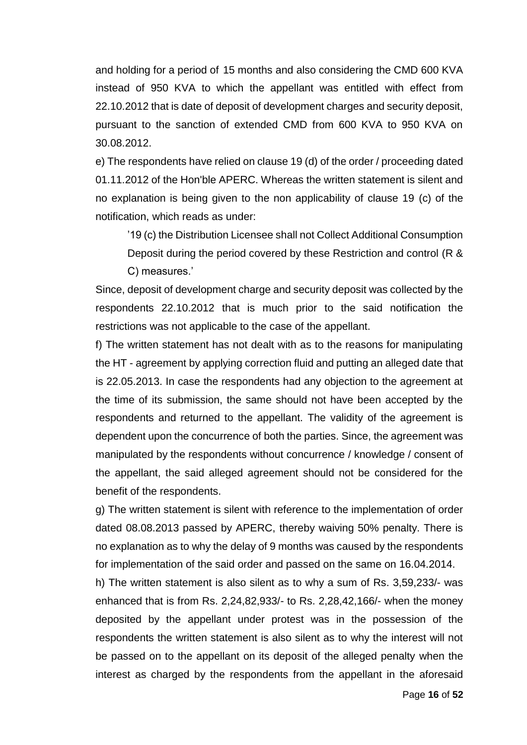and holding for a period of 15 months and also considering the CMD 600 KVA instead of 950 KVA to which the appellant was entitled with effect from 22.10.2012 that is date of deposit of development charges and security deposit, pursuant to the sanction of extended CMD from 600 KVA to 950 KVA on 30.08.2012.

e) The respondents have relied on clause 19 (d) of the order / proceeding dated 01.11.2012 of the Hon'ble APERC. Whereas the written statement is silent and no explanation is being given to the non applicability of clause 19 (c) of the notification, which reads as under:

'19 (c) the Distribution Licensee shall not Collect Additional Consumption Deposit during the period covered by these Restriction and control (R & C) measures.'

Since, deposit of development charge and security deposit was collected by the respondents 22.10.2012 that is much prior to the said notification the restrictions was not applicable to the case of the appellant.

f) The written statement has not dealt with as to the reasons for manipulating the HT - agreement by applying correction fluid and putting an alleged date that is 22.05.2013. In case the respondents had any objection to the agreement at the time of its submission, the same should not have been accepted by the respondents and returned to the appellant. The validity of the agreement is dependent upon the concurrence of both the parties. Since, the agreement was manipulated by the respondents without concurrence / knowledge / consent of the appellant, the said alleged agreement should not be considered for the benefit of the respondents.

g) The written statement is silent with reference to the implementation of order dated 08.08.2013 passed by APERC, thereby waiving 50% penalty. There is no explanation as to why the delay of 9 months was caused by the respondents for implementation of the said order and passed on the same on 16.04.2014.

h) The written statement is also silent as to why a sum of Rs. 3,59,233/- was enhanced that is from Rs. 2,24,82,933/- to Rs. 2,28,42,166/- when the money deposited by the appellant under protest was in the possession of the respondents the written statement is also silent as to why the interest will not be passed on to the appellant on its deposit of the alleged penalty when the interest as charged by the respondents from the appellant in the aforesaid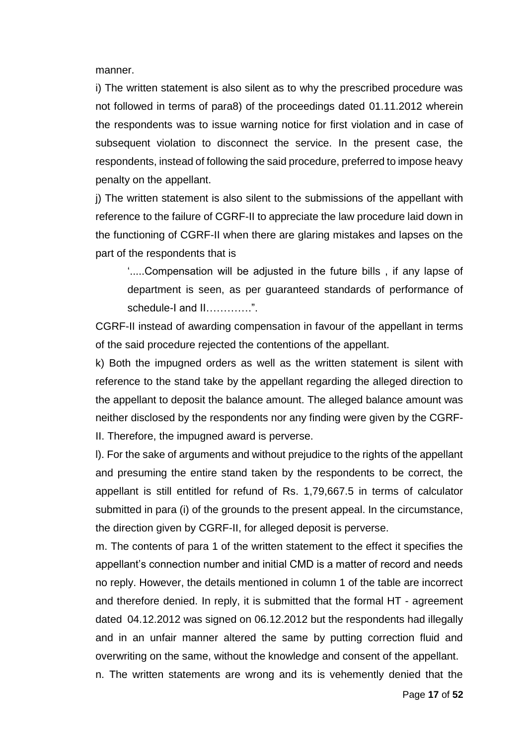manner.

i) The written statement is also silent as to why the prescribed procedure was not followed in terms of para8) of the proceedings dated 01.11.2012 wherein the respondents was to issue warning notice for first violation and in case of subsequent violation to disconnect the service. In the present case, the respondents, instead of following the said procedure, preferred to impose heavy penalty on the appellant.

j) The written statement is also silent to the submissions of the appellant with reference to the failure of CGRF-II to appreciate the law procedure laid down in the functioning of CGRF-II when there are glaring mistakes and lapses on the part of the respondents that is

'.....Compensation will be adjusted in the future bills , if any lapse of department is seen, as per guaranteed standards of performance of schedule-I and II………….".

CGRF-II instead of awarding compensation in favour of the appellant in terms of the said procedure rejected the contentions of the appellant.

k) Both the impugned orders as well as the written statement is silent with reference to the stand take by the appellant regarding the alleged direction to the appellant to deposit the balance amount. The alleged balance amount was neither disclosed by the respondents nor any finding were given by the CGRF-II. Therefore, the impugned award is perverse.

l). For the sake of arguments and without prejudice to the rights of the appellant and presuming the entire stand taken by the respondents to be correct, the appellant is still entitled for refund of Rs. 1,79,667.5 in terms of calculator submitted in para (i) of the grounds to the present appeal. In the circumstance, the direction given by CGRF-II, for alleged deposit is perverse.

m. The contents of para 1 of the written statement to the effect it specifies the appellant's connection number and initial CMD is a matter of record and needs no reply. However, the details mentioned in column 1 of the table are incorrect and therefore denied. In reply, it is submitted that the formal HT - agreement dated 04.12.2012 was signed on 06.12.2012 but the respondents had illegally and in an unfair manner altered the same by putting correction fluid and overwriting on the same, without the knowledge and consent of the appellant.

n. The written statements are wrong and its is vehemently denied that the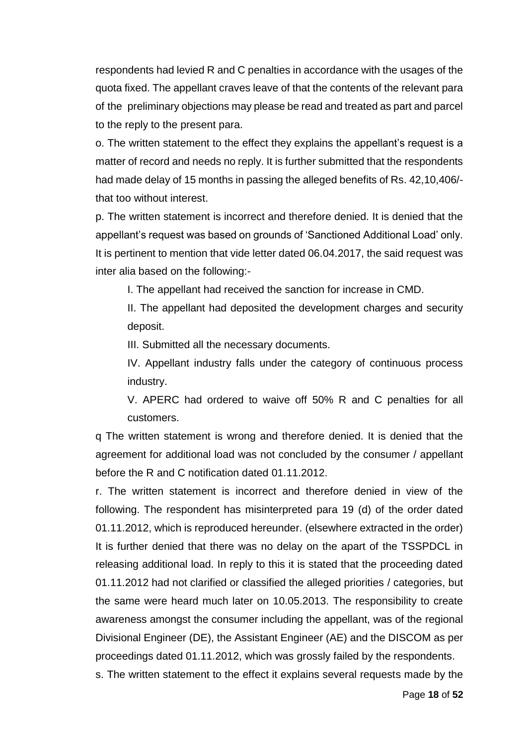respondents had levied R and C penalties in accordance with the usages of the quota fixed. The appellant craves leave of that the contents of the relevant para of the preliminary objections may please be read and treated as part and parcel to the reply to the present para.

o. The written statement to the effect they explains the appellant's request is a matter of record and needs no reply. It is further submitted that the respondents had made delay of 15 months in passing the alleged benefits of Rs. 42,10,406/ that too without interest.

p. The written statement is incorrect and therefore denied. It is denied that the appellant's request was based on grounds of 'Sanctioned Additional Load' only. It is pertinent to mention that vide letter dated 06.04.2017, the said request was inter alia based on the following:-

I. The appellant had received the sanction for increase in CMD.

II. The appellant had deposited the development charges and security deposit.

III. Submitted all the necessary documents.

IV. Appellant industry falls under the category of continuous process industry.

V. APERC had ordered to waive off 50% R and C penalties for all customers.

q The written statement is wrong and therefore denied. It is denied that the agreement for additional load was not concluded by the consumer / appellant before the R and C notification dated 01.11.2012.

r. The written statement is incorrect and therefore denied in view of the following. The respondent has misinterpreted para 19 (d) of the order dated 01.11.2012, which is reproduced hereunder. (elsewhere extracted in the order) It is further denied that there was no delay on the apart of the TSSPDCL in releasing additional load. In reply to this it is stated that the proceeding dated 01.11.2012 had not clarified or classified the alleged priorities / categories, but the same were heard much later on 10.05.2013. The responsibility to create awareness amongst the consumer including the appellant, was of the regional Divisional Engineer (DE), the Assistant Engineer (AE) and the DISCOM as per proceedings dated 01.11.2012, which was grossly failed by the respondents.

s. The written statement to the effect it explains several requests made by the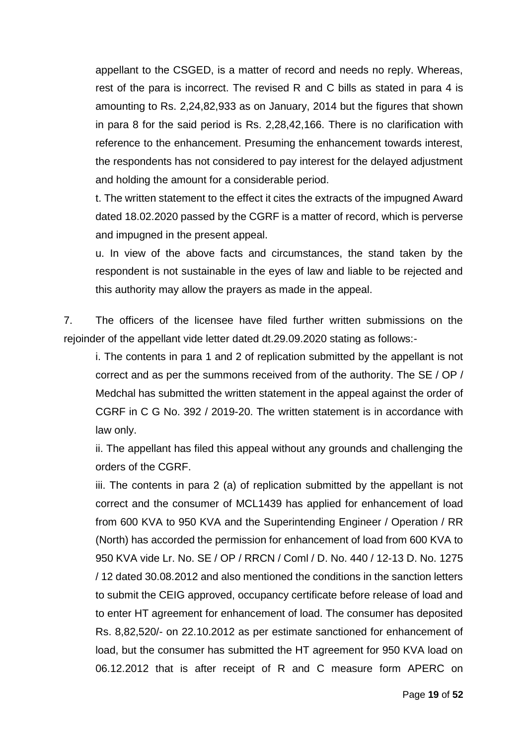appellant to the CSGED, is a matter of record and needs no reply. Whereas, rest of the para is incorrect. The revised R and C bills as stated in para 4 is amounting to Rs. 2,24,82,933 as on January, 2014 but the figures that shown in para 8 for the said period is Rs. 2,28,42,166. There is no clarification with reference to the enhancement. Presuming the enhancement towards interest, the respondents has not considered to pay interest for the delayed adjustment and holding the amount for a considerable period.

t. The written statement to the effect it cites the extracts of the impugned Award dated 18.02.2020 passed by the CGRF is a matter of record, which is perverse and impugned in the present appeal.

u. In view of the above facts and circumstances, the stand taken by the respondent is not sustainable in the eyes of law and liable to be rejected and this authority may allow the prayers as made in the appeal.

7. The officers of the licensee have filed further written submissions on the rejoinder of the appellant vide letter dated dt.29.09.2020 stating as follows:-

i. The contents in para 1 and 2 of replication submitted by the appellant is not correct and as per the summons received from of the authority. The SE / OP / Medchal has submitted the written statement in the appeal against the order of CGRF in C G No. 392 / 2019-20. The written statement is in accordance with law only.

ii. The appellant has filed this appeal without any grounds and challenging the orders of the CGRF.

iii. The contents in para 2 (a) of replication submitted by the appellant is not correct and the consumer of MCL1439 has applied for enhancement of load from 600 KVA to 950 KVA and the Superintending Engineer / Operation / RR (North) has accorded the permission for enhancement of load from 600 KVA to 950 KVA vide Lr. No. SE / OP / RRCN / Coml / D. No. 440 / 12-13 D. No. 1275 / 12 dated 30.08.2012 and also mentioned the conditions in the sanction letters to submit the CEIG approved, occupancy certificate before release of load and to enter HT agreement for enhancement of load. The consumer has deposited Rs. 8,82,520/- on 22.10.2012 as per estimate sanctioned for enhancement of load, but the consumer has submitted the HT agreement for 950 KVA load on 06.12.2012 that is after receipt of R and C measure form APERC on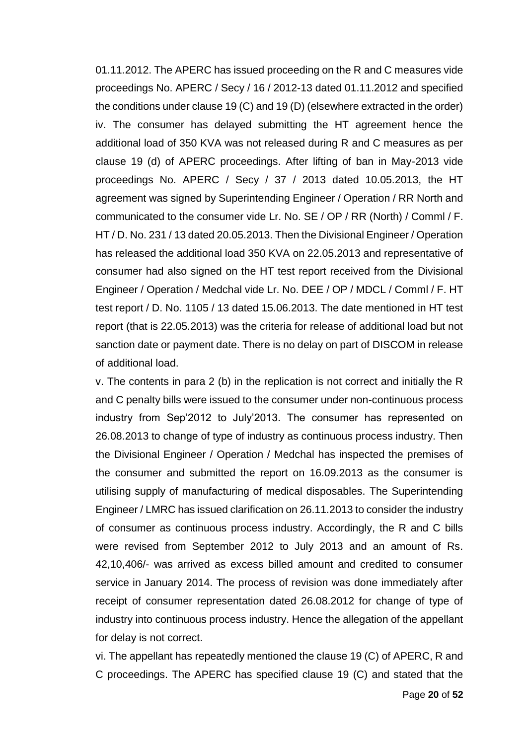01.11.2012. The APERC has issued proceeding on the R and C measures vide proceedings No. APERC / Secy / 16 / 2012-13 dated 01.11.2012 and specified the conditions under clause 19 (C) and 19 (D) (elsewhere extracted in the order) iv. The consumer has delayed submitting the HT agreement hence the additional load of 350 KVA was not released during R and C measures as per clause 19 (d) of APERC proceedings. After lifting of ban in May-2013 vide proceedings No. APERC / Secy / 37 / 2013 dated 10.05.2013, the HT agreement was signed by Superintending Engineer / Operation / RR North and communicated to the consumer vide Lr. No. SE / OP / RR (North) / Comml / F. HT / D. No. 231 / 13 dated 20.05.2013. Then the Divisional Engineer / Operation has released the additional load 350 KVA on 22.05.2013 and representative of consumer had also signed on the HT test report received from the Divisional Engineer / Operation / Medchal vide Lr. No. DEE / OP / MDCL / Comml / F. HT test report / D. No. 1105 / 13 dated 15.06.2013. The date mentioned in HT test report (that is 22.05.2013) was the criteria for release of additional load but not sanction date or payment date. There is no delay on part of DISCOM in release of additional load.

v. The contents in para 2 (b) in the replication is not correct and initially the R and C penalty bills were issued to the consumer under non-continuous process industry from Sep'2012 to July'2013. The consumer has represented on 26.08.2013 to change of type of industry as continuous process industry. Then the Divisional Engineer / Operation / Medchal has inspected the premises of the consumer and submitted the report on 16.09.2013 as the consumer is utilising supply of manufacturing of medical disposables. The Superintending Engineer / LMRC has issued clarification on 26.11.2013 to consider the industry of consumer as continuous process industry. Accordingly, the R and C bills were revised from September 2012 to July 2013 and an amount of Rs. 42,10,406/- was arrived as excess billed amount and credited to consumer service in January 2014. The process of revision was done immediately after receipt of consumer representation dated 26.08.2012 for change of type of industry into continuous process industry. Hence the allegation of the appellant for delay is not correct.

vi. The appellant has repeatedly mentioned the clause 19 (C) of APERC, R and C proceedings. The APERC has specified clause 19 (C) and stated that the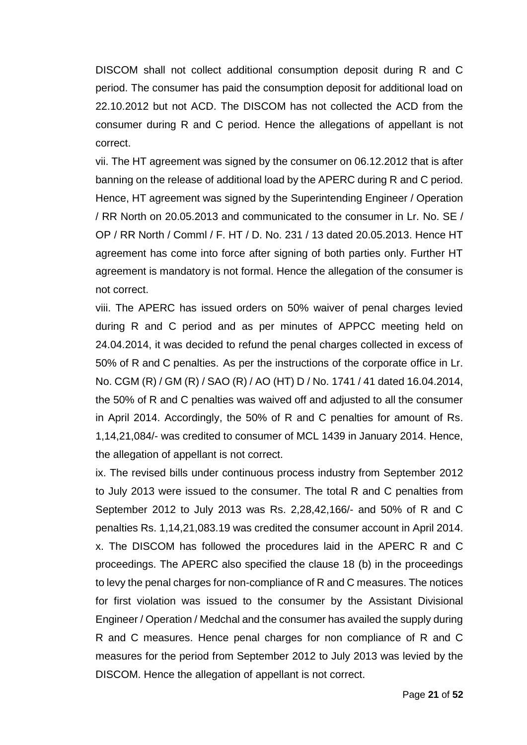DISCOM shall not collect additional consumption deposit during R and C period. The consumer has paid the consumption deposit for additional load on 22.10.2012 but not ACD. The DISCOM has not collected the ACD from the consumer during R and C period. Hence the allegations of appellant is not correct.

vii. The HT agreement was signed by the consumer on 06.12.2012 that is after banning on the release of additional load by the APERC during R and C period. Hence, HT agreement was signed by the Superintending Engineer / Operation / RR North on 20.05.2013 and communicated to the consumer in Lr. No. SE / OP / RR North / Comml / F. HT / D. No. 231 / 13 dated 20.05.2013. Hence HT agreement has come into force after signing of both parties only. Further HT agreement is mandatory is not formal. Hence the allegation of the consumer is not correct.

viii. The APERC has issued orders on 50% waiver of penal charges levied during R and C period and as per minutes of APPCC meeting held on 24.04.2014, it was decided to refund the penal charges collected in excess of 50% of R and C penalties. As per the instructions of the corporate office in Lr. No. CGM (R) / GM (R) / SAO (R) / AO (HT) D / No. 1741 / 41 dated 16.04.2014, the 50% of R and C penalties was waived off and adjusted to all the consumer in April 2014. Accordingly, the 50% of R and C penalties for amount of Rs. 1,14,21,084/- was credited to consumer of MCL 1439 in January 2014. Hence, the allegation of appellant is not correct.

ix. The revised bills under continuous process industry from September 2012 to July 2013 were issued to the consumer. The total R and C penalties from September 2012 to July 2013 was Rs. 2,28,42,166/- and 50% of R and C penalties Rs. 1,14,21,083.19 was credited the consumer account in April 2014. x. The DISCOM has followed the procedures laid in the APERC R and C proceedings. The APERC also specified the clause 18 (b) in the proceedings to levy the penal charges for non-compliance of R and C measures. The notices for first violation was issued to the consumer by the Assistant Divisional Engineer / Operation / Medchal and the consumer has availed the supply during R and C measures. Hence penal charges for non compliance of R and C measures for the period from September 2012 to July 2013 was levied by the DISCOM. Hence the allegation of appellant is not correct.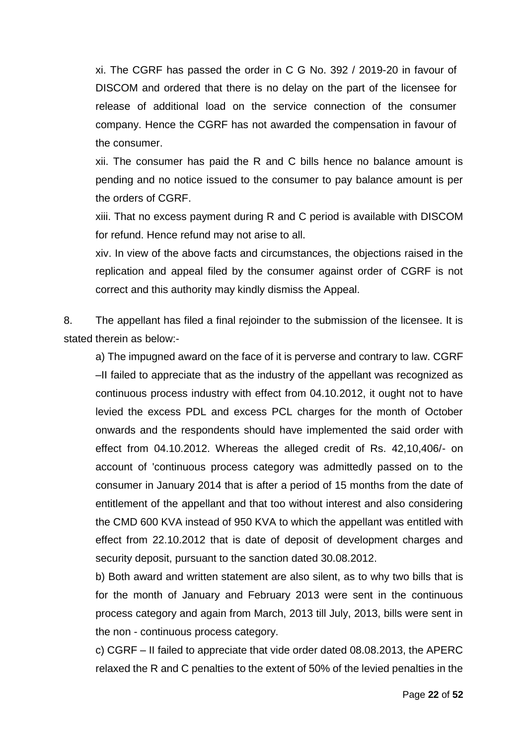xi. The CGRF has passed the order in C G No. 392 / 2019-20 in favour of DISCOM and ordered that there is no delay on the part of the licensee for release of additional load on the service connection of the consumer company. Hence the CGRF has not awarded the compensation in favour of the consumer.

xii. The consumer has paid the R and C bills hence no balance amount is pending and no notice issued to the consumer to pay balance amount is per the orders of CGRF.

xiii. That no excess payment during R and C period is available with DISCOM for refund. Hence refund may not arise to all.

xiv. In view of the above facts and circumstances, the objections raised in the replication and appeal filed by the consumer against order of CGRF is not correct and this authority may kindly dismiss the Appeal.

8. The appellant has filed a final rejoinder to the submission of the licensee. It is stated therein as below:-

a) The impugned award on the face of it is perverse and contrary to law. CGRF –II failed to appreciate that as the industry of the appellant was recognized as continuous process industry with effect from 04.10.2012, it ought not to have levied the excess PDL and excess PCL charges for the month of October onwards and the respondents should have implemented the said order with effect from 04.10.2012. Whereas the alleged credit of Rs. 42,10,406/- on account of 'continuous process category was admittedly passed on to the consumer in January 2014 that is after a period of 15 months from the date of entitlement of the appellant and that too without interest and also considering the CMD 600 KVA instead of 950 KVA to which the appellant was entitled with effect from 22.10.2012 that is date of deposit of development charges and security deposit, pursuant to the sanction dated 30.08.2012.

b) Both award and written statement are also silent, as to why two bills that is for the month of January and February 2013 were sent in the continuous process category and again from March, 2013 till July, 2013, bills were sent in the non - continuous process category.

c) CGRF – II failed to appreciate that vide order dated 08.08.2013, the APERC relaxed the R and C penalties to the extent of 50% of the levied penalties in the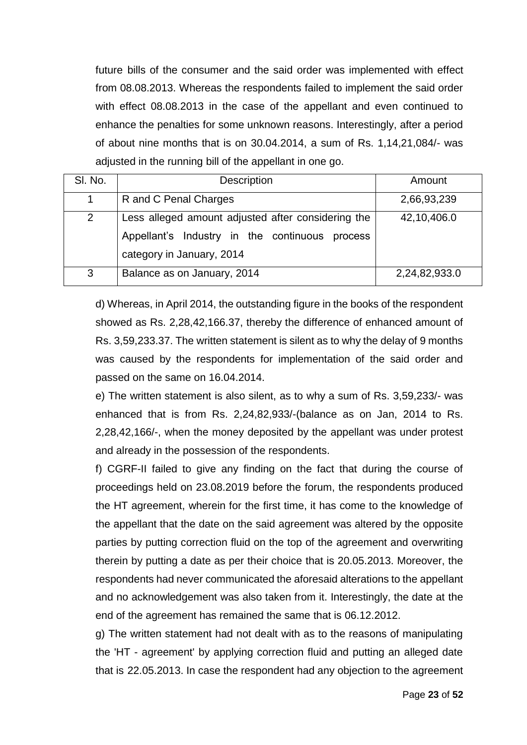future bills of the consumer and the said order was implemented with effect from 08.08.2013. Whereas the respondents failed to implement the said order with effect 08.08.2013 in the case of the appellant and even continued to enhance the penalties for some unknown reasons. Interestingly, after a period of about nine months that is on 30.04.2014, a sum of Rs. 1,14,21,084/- was adjusted in the running bill of the appellant in one go.

| SI. No.        | Description                                                                                                                       | Amount        |
|----------------|-----------------------------------------------------------------------------------------------------------------------------------|---------------|
| 1              | R and C Penal Charges                                                                                                             | 2,66,93,239   |
| $\overline{2}$ | Less alleged amount adjusted after considering the<br>Appellant's Industry in the continuous process<br>category in January, 2014 | 42,10,406.0   |
| 3              | Balance as on January, 2014                                                                                                       | 2,24,82,933.0 |

d) Whereas, in April 2014, the outstanding figure in the books of the respondent showed as Rs. 2,28,42,166.37, thereby the difference of enhanced amount of Rs. 3,59,233.37. The written statement is silent as to why the delay of 9 months was caused by the respondents for implementation of the said order and passed on the same on 16.04.2014.

e) The written statement is also silent, as to why a sum of Rs. 3,59,233/- was enhanced that is from Rs. 2,24,82,933/-(balance as on Jan, 2014 to Rs. 2,28,42,166/-, when the money deposited by the appellant was under protest and already in the possession of the respondents.

f) CGRF-II failed to give any finding on the fact that during the course of proceedings held on 23.08.2019 before the forum, the respondents produced the HT agreement, wherein for the first time, it has come to the knowledge of the appellant that the date on the said agreement was altered by the opposite parties by putting correction fluid on the top of the agreement and overwriting therein by putting a date as per their choice that is 20.05.2013. Moreover, the respondents had never communicated the aforesaid alterations to the appellant and no acknowledgement was also taken from it. Interestingly, the date at the end of the agreement has remained the same that is 06.12.2012.

g) The written statement had not dealt with as to the reasons of manipulating the 'HT - agreement' by applying correction fluid and putting an alleged date that is 22.05.2013. In case the respondent had any objection to the agreement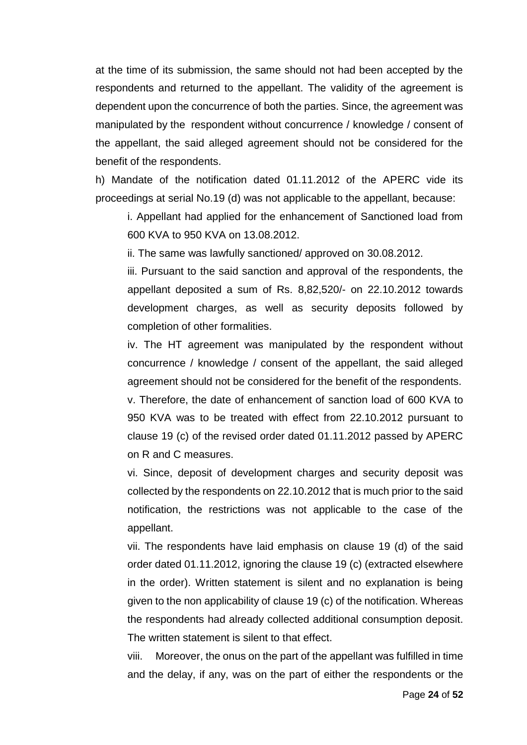at the time of its submission, the same should not had been accepted by the respondents and returned to the appellant. The validity of the agreement is dependent upon the concurrence of both the parties. Since, the agreement was manipulated by the respondent without concurrence / knowledge / consent of the appellant, the said alleged agreement should not be considered for the benefit of the respondents.

h) Mandate of the notification dated 01.11.2012 of the APERC vide its proceedings at serial No.19 (d) was not applicable to the appellant, because:

i. Appellant had applied for the enhancement of Sanctioned load from 600 KVA to 950 KVA on 13.08.2012.

ii. The same was lawfully sanctioned/ approved on 30.08.2012.

iii. Pursuant to the said sanction and approval of the respondents, the appellant deposited a sum of Rs. 8,82,520/- on 22.10.2012 towards development charges, as well as security deposits followed by completion of other formalities.

iv. The HT agreement was manipulated by the respondent without concurrence / knowledge / consent of the appellant, the said alleged agreement should not be considered for the benefit of the respondents.

v. Therefore, the date of enhancement of sanction load of 600 KVA to 950 KVA was to be treated with effect from 22.10.2012 pursuant to clause 19 (c) of the revised order dated 01.11.2012 passed by APERC on R and C measures.

vi. Since, deposit of development charges and security deposit was collected by the respondents on 22.10.2012 that is much prior to the said notification, the restrictions was not applicable to the case of the appellant.

vii. The respondents have laid emphasis on clause 19 (d) of the said order dated 01.11.2012, ignoring the clause 19 (c) (extracted elsewhere in the order). Written statement is silent and no explanation is being given to the non applicability of clause 19 (c) of the notification. Whereas the respondents had already collected additional consumption deposit. The written statement is silent to that effect.

viii. Moreover, the onus on the part of the appellant was fulfilled in time and the delay, if any, was on the part of either the respondents or the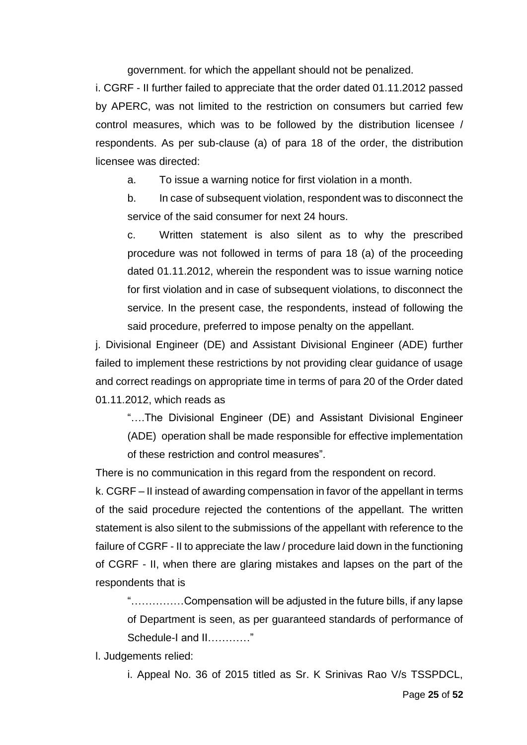government. for which the appellant should not be penalized.

i. CGRF - II further failed to appreciate that the order dated 01.11.2012 passed by APERC, was not limited to the restriction on consumers but carried few control measures, which was to be followed by the distribution licensee / respondents. As per sub-clause (a) of para 18 of the order, the distribution licensee was directed:

a. To issue a warning notice for first violation in a month.

b. In case of subsequent violation, respondent was to disconnect the service of the said consumer for next 24 hours.

c. Written statement is also silent as to why the prescribed procedure was not followed in terms of para 18 (a) of the proceeding dated 01.11.2012, wherein the respondent was to issue warning notice for first violation and in case of subsequent violations, to disconnect the service. In the present case, the respondents, instead of following the said procedure, preferred to impose penalty on the appellant.

j. Divisional Engineer (DE) and Assistant Divisional Engineer (ADE) further failed to implement these restrictions by not providing clear guidance of usage and correct readings on appropriate time in terms of para 20 of the Order dated 01.11.2012, which reads as

"….The Divisional Engineer (DE) and Assistant Divisional Engineer (ADE) operation shall be made responsible for effective implementation of these restriction and control measures".

There is no communication in this regard from the respondent on record.

k. CGRF – II instead of awarding compensation in favor of the appellant in terms of the said procedure rejected the contentions of the appellant. The written statement is also silent to the submissions of the appellant with reference to the failure of CGRF - II to appreciate the law / procedure laid down in the functioning of CGRF - II, when there are glaring mistakes and lapses on the part of the respondents that is

"……………Compensation will be adjusted in the future bills, if any lapse of Department is seen, as per guaranteed standards of performance of Schedule-I and II…………"

l. Judgements relied:

i. Appeal No. 36 of 2015 titled as Sr. K Srinivas Rao V/s TSSPDCL,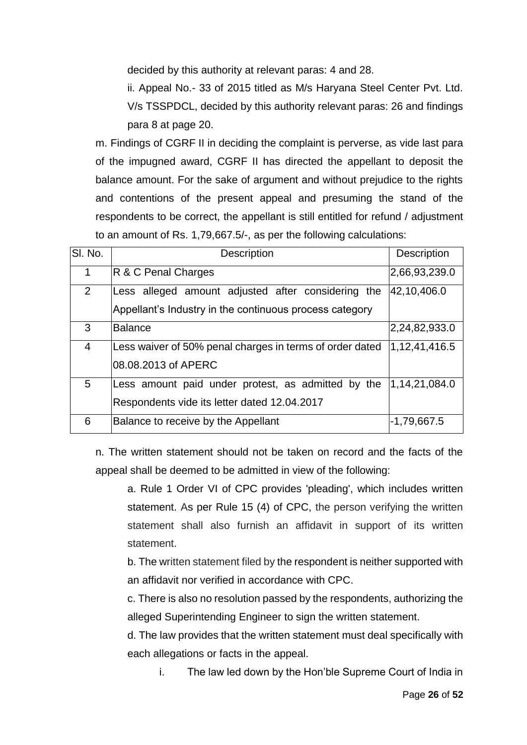decided by this authority at relevant paras: 4 and 28.

ii. Appeal No.- 33 of 2015 titled as M/s Haryana Steel Center Pvt. Ltd. V/s TSSPDCL, decided by this authority relevant paras: 26 and findings para 8 at page 20.

m. Findings of CGRF II in deciding the complaint is perverse, as vide last para of the impugned award, CGRF II has directed the appellant to deposit the balance amount. For the sake of argument and without prejudice to the rights and contentions of the present appeal and presuming the stand of the respondents to be correct, the appellant is still entitled for refund / adjustment to an amount of Rs. 1,79,667.5/-, as per the following calculations:

| SI. No.        | Description                                                                                                   | <b>Description</b> |
|----------------|---------------------------------------------------------------------------------------------------------------|--------------------|
| 1              | <b>R &amp; C Penal Charges</b>                                                                                | 2,66,93,239.0      |
| $\overline{2}$ | Less alleged amount adjusted after considering the<br>Appellant's Industry in the continuous process category | 42,10,406.0        |
| 3              | <b>Balance</b>                                                                                                | 2,24,82,933.0      |
| $\overline{4}$ | Less waiver of 50% penal charges in terms of order dated<br>08.08.2013 of APERC                               | 1,12,41,416.5      |
| 5              | Less amount paid under protest, as admitted by the<br>Respondents vide its letter dated 12.04.2017            | 1,14,21,084.0      |
| 6              | Balance to receive by the Appellant                                                                           | -1,79,667.5        |

n. The written statement should not be taken on record and the facts of the appeal shall be deemed to be admitted in view of the following:

a. Rule 1 Order VI of CPC provides 'pleading', which includes written statement. As per Rule 15 (4) of CPC, the person verifying the written statement shall also furnish an affidavit in support of its written statement.

b. The written statement filed by the respondent is neither supported with an affidavit nor verified in accordance with CPC.

c. There is also no resolution passed by the respondents, authorizing the alleged Superintending Engineer to sign the written statement.

d. The law provides that the written statement must deal specifically with each allegations or facts in the appeal.

i. The law led down by the Hon'ble Supreme Court of India in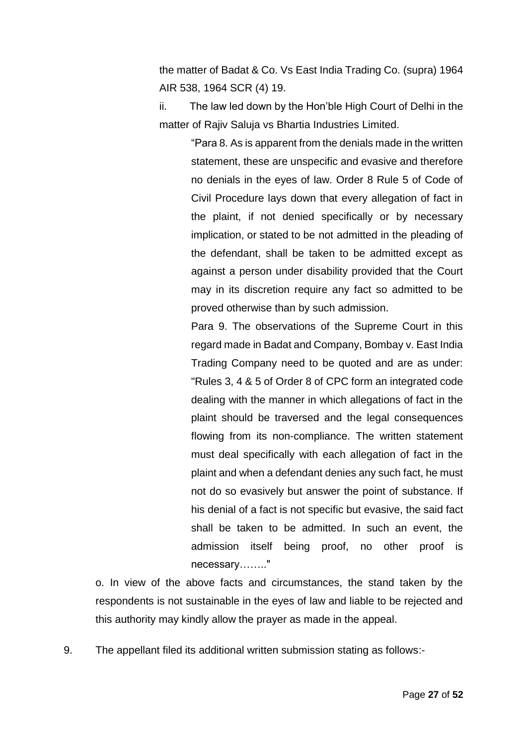the matter of Badat & Co. Vs East India Trading Co. (supra) 1964 AIR 538, 1964 SCR (4) 19.

ii. The law led down by the Hon'ble High Court of Delhi in the matter of Rajiv Saluja vs Bhartia Industries Limited.

> "Para 8. As is apparent from the denials made in the written statement, these are unspecific and evasive and therefore no denials in the eyes of law. Order 8 Rule 5 of Code of Civil Procedure lays down that every allegation of fact in the plaint, if not denied specifically or by necessary implication, or stated to be not admitted in the pleading of the defendant, shall be taken to be admitted except as against a person under disability provided that the Court may in its discretion require any fact so admitted to be proved otherwise than by such admission.

> Para 9. The observations of the Supreme Court in this regard made in [Badat and Company, Bombay v. East India](https://indiankanoon.org/doc/1994047/)  [Trading Company](https://indiankanoon.org/doc/1994047/) need to be quoted and are as under: "Rules 3, 4 & 5 of Order 8 of CPC form an integrated code dealing with the manner in which allegations of fact in the plaint should be traversed and the legal consequences flowing from its non-compliance. The written statement must deal specifically with each allegation of fact in the plaint and when a defendant denies any such fact, he must not do so evasively but answer the point of substance. If his denial of a fact is not specific but evasive, the said fact shall be taken to be admitted. In such an event, the admission itself being proof, no other proof is necessary…….."

o. In view of the above facts and circumstances, the stand taken by the respondents is not sustainable in the eyes of law and liable to be rejected and this authority may kindly allow the prayer as made in the appeal.

9. The appellant filed its additional written submission stating as follows:-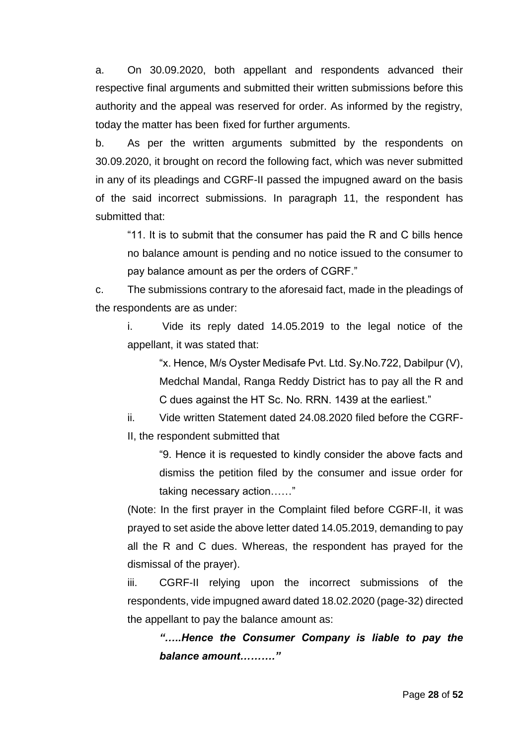a. On 30.09.2020, both appellant and respondents advanced their respective final arguments and submitted their written submissions before this authority and the appeal was reserved for order. As informed by the registry, today the matter has been fixed for further arguments.

b. As per the written arguments submitted by the respondents on 30.09.2020, it brought on record the following fact, which was never submitted in any of its pleadings and CGRF-II passed the impugned award on the basis of the said incorrect submissions. In paragraph 11, the respondent has submitted that:

"11. It is to submit that the consumer has paid the R and C bills hence no balance amount is pending and no notice issued to the consumer to pay balance amount as per the orders of CGRF."

c. The submissions contrary to the aforesaid fact, made in the pleadings of the respondents are as under:

i. Vide its reply dated 14.05.2019 to the legal notice of the appellant, it was stated that:

"x. Hence, M/s Oyster Medisafe Pvt. Ltd. Sy.No.722, Dabilpur (V), Medchal Mandal, Ranga Reddy District has to pay all the R and C dues against the HT Sc. No. RRN. 1439 at the earliest."

ii. Vide written Statement dated 24.08.2020 filed before the CGRF-II, the respondent submitted that

> "9. Hence it is requested to kindly consider the above facts and dismiss the petition filed by the consumer and issue order for taking necessary action……"

(Note: In the first prayer in the Complaint filed before CGRF-II, it was prayed to set aside the above letter dated 14.05.2019, demanding to pay all the R and C dues. Whereas, the respondent has prayed for the dismissal of the prayer).

iii. CGRF-II relying upon the incorrect submissions of the respondents, vide impugned award dated 18.02.2020 (page-32) directed the appellant to pay the balance amount as:

*"…..Hence the Consumer Company is liable to pay the balance amount………."*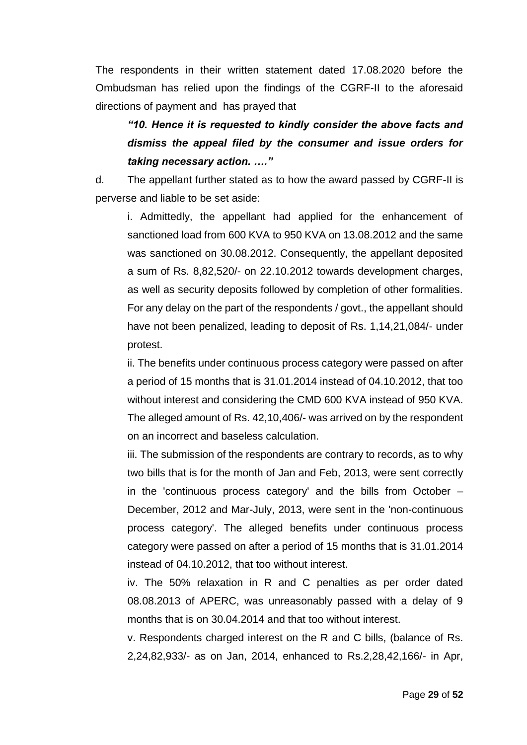The respondents in their written statement dated 17.08.2020 before the Ombudsman has relied upon the findings of the CGRF-II to the aforesaid directions of payment and has prayed that

*"10. Hence it is requested to kindly consider the above facts and dismiss the appeal filed by the consumer and issue orders for taking necessary action. …."*

d. The appellant further stated as to how the award passed by CGRF-II is perverse and liable to be set aside:

i. Admittedly, the appellant had applied for the enhancement of sanctioned load from 600 KVA to 950 KVA on 13.08.2012 and the same was sanctioned on 30.08.2012. Consequently, the appellant deposited a sum of Rs. 8,82,520/- on 22.10.2012 towards development charges, as well as security deposits followed by completion of other formalities. For any delay on the part of the respondents / govt., the appellant should have not been penalized, leading to deposit of Rs. 1,14,21,084/- under protest.

ii. The benefits under continuous process category were passed on after a period of 15 months that is 31.01.2014 instead of 04.10.2012, that too without interest and considering the CMD 600 KVA instead of 950 KVA. The alleged amount of Rs. 42,10,406/- was arrived on by the respondent on an incorrect and baseless calculation.

iii. The submission of the respondents are contrary to records, as to why two bills that is for the month of Jan and Feb, 2013, were sent correctly in the 'continuous process category' and the bills from October – December, 2012 and Mar-July, 2013, were sent in the 'non-continuous process category'. The alleged benefits under continuous process category were passed on after a period of 15 months that is 31.01.2014 instead of 04.10.2012, that too without interest.

iv. The 50% relaxation in R and C penalties as per order dated 08.08.2013 of APERC, was unreasonably passed with a delay of 9 months that is on 30.04.2014 and that too without interest.

v. Respondents charged interest on the R and C bills, (balance of Rs. 2,24,82,933/- as on Jan, 2014, enhanced to Rs.2,28,42,166/- in Apr,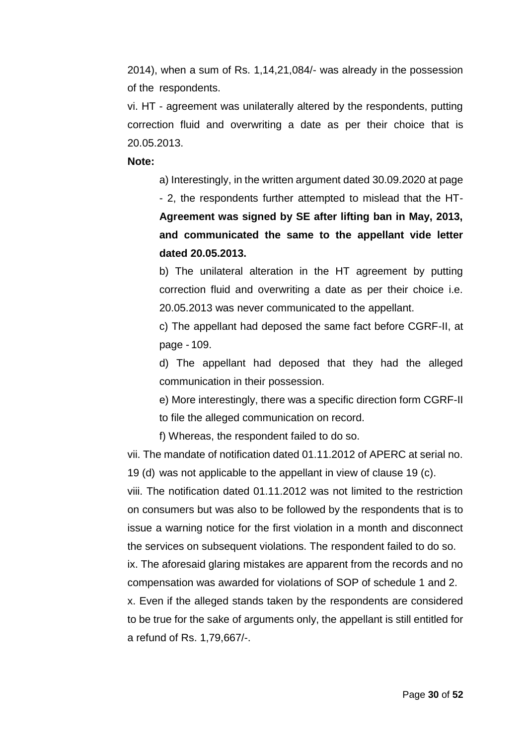2014), when a sum of Rs. 1,14,21,084/- was already in the possession of the respondents.

vi. HT - agreement was unilaterally altered by the respondents, putting correction fluid and overwriting a date as per their choice that is 20.05.2013.

#### **Note:**

a) Interestingly, in the written argument dated 30.09.2020 at page

- 2, the respondents further attempted to mislead that the HT-**Agreement was signed by SE after lifting ban in May, 2013, and communicated the same to the appellant vide letter dated 20.05.2013.**

b) The unilateral alteration in the HT agreement by putting correction fluid and overwriting a date as per their choice i.e. 20.05.2013 was never communicated to the appellant.

c) The appellant had deposed the same fact before CGRF-II, at page - 109.

d) The appellant had deposed that they had the alleged communication in their possession.

e) More interestingly, there was a specific direction form CGRF-II to file the alleged communication on record.

f) Whereas, the respondent failed to do so.

vii. The mandate of notification dated 01.11.2012 of APERC at serial no. 19 (d) was not applicable to the appellant in view of clause 19 (c).

viii. The notification dated 01.11.2012 was not limited to the restriction on consumers but was also to be followed by the respondents that is to issue a warning notice for the first violation in a month and disconnect the services on subsequent violations. The respondent failed to do so.

ix. The aforesaid glaring mistakes are apparent from the records and no compensation was awarded for violations of SOP of schedule 1 and 2.

x. Even if the alleged stands taken by the respondents are considered to be true for the sake of arguments only, the appellant is still entitled for a refund of Rs. 1,79,667/-.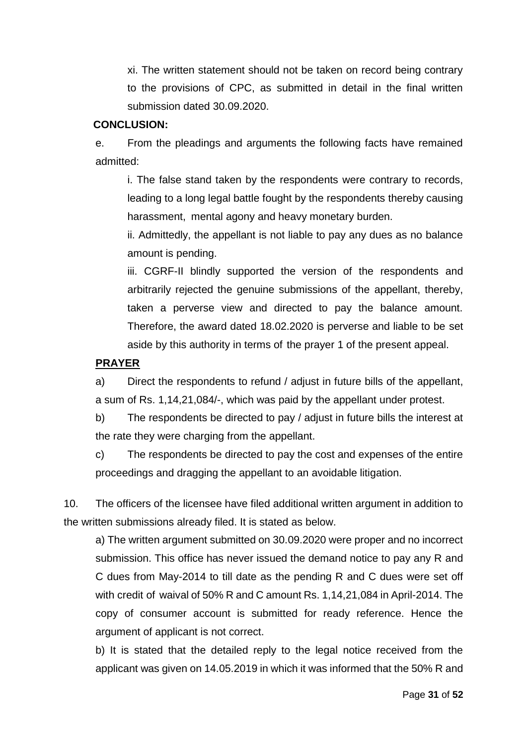xi. The written statement should not be taken on record being contrary to the provisions of CPC, as submitted in detail in the final written submission dated 30.09.2020.

## **CONCLUSION:**

e. From the pleadings and arguments the following facts have remained admitted:

i. The false stand taken by the respondents were contrary to records, leading to a long legal battle fought by the respondents thereby causing harassment, mental agony and heavy monetary burden.

ii. Admittedly, the appellant is not liable to pay any dues as no balance amount is pending.

iii. CGRF-II blindly supported the version of the respondents and arbitrarily rejected the genuine submissions of the appellant, thereby, taken a perverse view and directed to pay the balance amount. Therefore, the award dated 18.02.2020 is perverse and liable to be set aside by this authority in terms of the prayer 1 of the present appeal.

## **PRAYER**

a) Direct the respondents to refund / adjust in future bills of the appellant, a sum of Rs. 1,14,21,084/-, which was paid by the appellant under protest.

b) The respondents be directed to pay / adjust in future bills the interest at the rate they were charging from the appellant.

c) The respondents be directed to pay the cost and expenses of the entire proceedings and dragging the appellant to an avoidable litigation.

10. The officers of the licensee have filed additional written argument in addition to the written submissions already filed. It is stated as below.

a) The written argument submitted on 30.09.2020 were proper and no incorrect submission. This office has never issued the demand notice to pay any R and C dues from May-2014 to till date as the pending R and C dues were set off with credit of waival of 50% R and C amount Rs. 1,14,21,084 in April-2014. The copy of consumer account is submitted for ready reference. Hence the argument of applicant is not correct.

b) It is stated that the detailed reply to the legal notice received from the applicant was given on 14.05.2019 in which it was informed that the 50% R and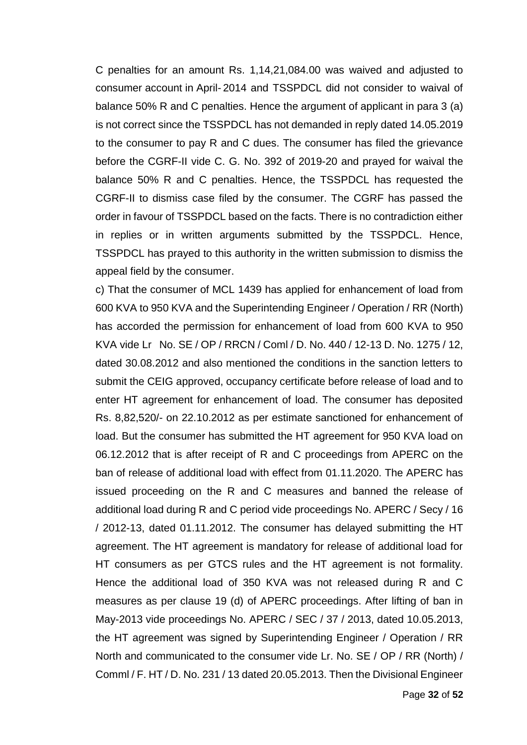C penalties for an amount Rs. 1,14,21,084.00 was waived and adjusted to consumer account in April- 2014 and TSSPDCL did not consider to waival of balance 50% R and C penalties. Hence the argument of applicant in para 3 (a) is not correct since the TSSPDCL has not demanded in reply dated 14.05.2019 to the consumer to pay R and C dues. The consumer has filed the grievance before the CGRF-II vide C. G. No. 392 of 2019-20 and prayed for waival the balance 50% R and C penalties. Hence, the TSSPDCL has requested the CGRF-II to dismiss case filed by the consumer. The CGRF has passed the order in favour of TSSPDCL based on the facts. There is no contradiction either in replies or in written arguments submitted by the TSSPDCL. Hence, TSSPDCL has prayed to this authority in the written submission to dismiss the appeal field by the consumer.

c) That the consumer of MCL 1439 has applied for enhancement of load from 600 KVA to 950 KVA and the Superintending Engineer / Operation / RR (North) has accorded the permission for enhancement of load from 600 KVA to 950 KVA vide Lr No. SE / OP / RRCN / Coml / D. No. 440 / 12-13 D. No. 1275 / 12, dated 30.08.2012 and also mentioned the conditions in the sanction letters to submit the CEIG approved, occupancy certificate before release of load and to enter HT agreement for enhancement of load. The consumer has deposited Rs. 8,82,520/- on 22.10.2012 as per estimate sanctioned for enhancement of load. But the consumer has submitted the HT agreement for 950 KVA load on 06.12.2012 that is after receipt of R and C proceedings from APERC on the ban of release of additional load with effect from 01.11.2020. The APERC has issued proceeding on the R and C measures and banned the release of additional load during R and C period vide proceedings No. APERC / Secy / 16 / 2012-13, dated 01.11.2012. The consumer has delayed submitting the HT agreement. The HT agreement is mandatory for release of additional load for HT consumers as per GTCS rules and the HT agreement is not formality. Hence the additional load of 350 KVA was not released during R and C measures as per clause 19 (d) of APERC proceedings. After lifting of ban in May-2013 vide proceedings No. APERC / SEC / 37 / 2013, dated 10.05.2013, the HT agreement was signed by Superintending Engineer / Operation / RR North and communicated to the consumer vide Lr. No. SE / OP / RR (North) / Comml / F. HT / D. No. 231 / 13 dated 20.05.2013. Then the Divisional Engineer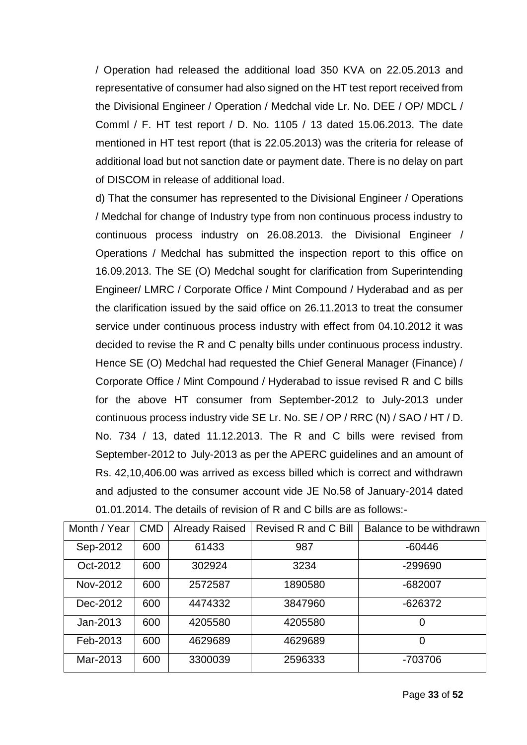/ Operation had released the additional load 350 KVA on 22.05.2013 and representative of consumer had also signed on the HT test report received from the Divisional Engineer / Operation / Medchal vide Lr. No. DEE / OP/ MDCL / Comml / F. HT test report / D. No. 1105 / 13 dated 15.06.2013. The date mentioned in HT test report (that is 22.05.2013) was the criteria for release of additional load but not sanction date or payment date. There is no delay on part of DISCOM in release of additional load.

d) That the consumer has represented to the Divisional Engineer / Operations / Medchal for change of Industry type from non continuous process industry to continuous process industry on 26.08.2013. the Divisional Engineer / Operations / Medchal has submitted the inspection report to this office on 16.09.2013. The SE (O) Medchal sought for clarification from Superintending Engineer/ LMRC / Corporate Office / Mint Compound / Hyderabad and as per the clarification issued by the said office on 26.11.2013 to treat the consumer service under continuous process industry with effect from 04.10.2012 it was decided to revise the R and C penalty bills under continuous process industry. Hence SE (O) Medchal had requested the Chief General Manager (Finance) / Corporate Office / Mint Compound / Hyderabad to issue revised R and C bills for the above HT consumer from September-2012 to July-2013 under continuous process industry vide SE Lr. No. SE / OP / RRC (N) / SAO / HT / D. No. 734 / 13, dated 11.12.2013. The R and C bills were revised from September-2012 to July-2013 as per the APERC guidelines and an amount of Rs. 42,10,406.00 was arrived as excess billed which is correct and withdrawn and adjusted to the consumer account vide JE No.58 of January-2014 dated 01.01.2014. The details of revision of R and C bills are as follows:-

| Month / Year | <b>CMD</b> | <b>Already Raised</b> | Revised R and C Bill | Balance to be withdrawn |
|--------------|------------|-----------------------|----------------------|-------------------------|
| Sep-2012     | 600        | 61433                 | 987                  | $-60446$                |
| Oct-2012     | 600        | 302924                | 3234                 | -299690                 |
| Nov-2012     | 600        | 2572587               | 1890580              | -682007                 |
| Dec-2012     | 600        | 4474332               | 3847960              | $-626372$               |
| Jan-2013     | 600        | 4205580               | 4205580              | 0                       |
| Feb-2013     | 600        | 4629689               | 4629689              | $\overline{0}$          |
| Mar-2013     | 600        | 3300039               | 2596333              | -703706                 |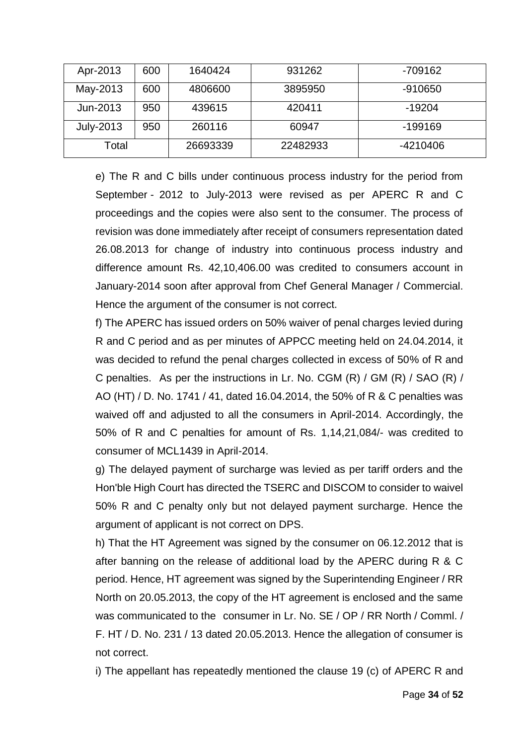|       | Apr-2013  | 600      | 1640424  | 931262   | $-709162$ |
|-------|-----------|----------|----------|----------|-----------|
|       | May-2013  | 600      | 4806600  | 3895950  | $-910650$ |
|       | Jun-2013  | 950      | 439615   | 420411   | -19204    |
|       | July-2013 | 950      | 260116   | 60947    | $-199169$ |
| Total |           | 26693339 | 22482933 | -4210406 |           |

e) The R and C bills under continuous process industry for the period from September - 2012 to July-2013 were revised as per APERC R and C proceedings and the copies were also sent to the consumer. The process of revision was done immediately after receipt of consumers representation dated 26.08.2013 for change of industry into continuous process industry and difference amount Rs. 42,10,406.00 was credited to consumers account in January-2014 soon after approval from Chef General Manager / Commercial. Hence the argument of the consumer is not correct.

f) The APERC has issued orders on 50% waiver of penal charges levied during R and C period and as per minutes of APPCC meeting held on 24.04.2014, it was decided to refund the penal charges collected in excess of 50% of R and C penalties. As per the instructions in Lr. No. CGM (R) / GM (R) / SAO (R) / AO (HT) / D. No. 1741 / 41, dated 16.04.2014, the 50% of R & C penalties was waived off and adjusted to all the consumers in April-2014. Accordingly, the 50% of R and C penalties for amount of Rs. 1,14,21,084/- was credited to consumer of MCL1439 in April-2014.

g) The delayed payment of surcharge was levied as per tariff orders and the Hon'ble High Court has directed the TSERC and DISCOM to consider to waivel 50% R and C penalty only but not delayed payment surcharge. Hence the argument of applicant is not correct on DPS.

h) That the HT Agreement was signed by the consumer on 06.12.2012 that is after banning on the release of additional load by the APERC during R & C period. Hence, HT agreement was signed by the Superintending Engineer / RR North on 20.05.2013, the copy of the HT agreement is enclosed and the same was communicated to the consumer in Lr. No. SE / OP / RR North / Comml. / F. HT / D. No. 231 / 13 dated 20.05.2013. Hence the allegation of consumer is not correct.

i) The appellant has repeatedly mentioned the clause 19 (c) of APERC R and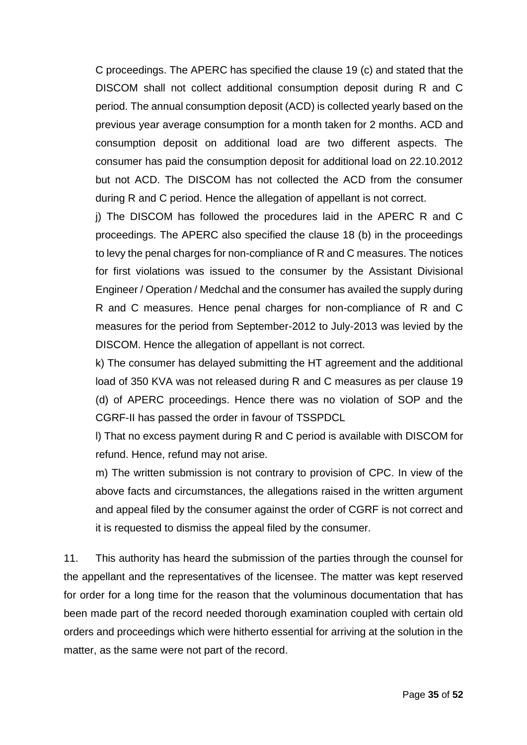C proceedings. The APERC has specified the clause 19 (c) and stated that the DISCOM shall not collect additional consumption deposit during R and C period. The annual consumption deposit (ACD) is collected yearly based on the previous year average consumption for a month taken for 2 months. ACD and consumption deposit on additional load are two different aspects. The consumer has paid the consumption deposit for additional load on 22.10.2012 but not ACD. The DISCOM has not collected the ACD from the consumer during R and C period. Hence the allegation of appellant is not correct.

j) The DISCOM has followed the procedures laid in the APERC R and C proceedings. The APERC also specified the clause 18 (b) in the proceedings to levy the penal charges for non-compliance of R and C measures. The notices for first violations was issued to the consumer by the Assistant Divisional Engineer / Operation / Medchal and the consumer has availed the supply during R and C measures. Hence penal charges for non-compliance of R and C measures for the period from September-2012 to July-2013 was levied by the DISCOM. Hence the allegation of appellant is not correct.

k) The consumer has delayed submitting the HT agreement and the additional load of 350 KVA was not released during R and C measures as per clause 19 (d) of APERC proceedings. Hence there was no violation of SOP and the CGRF-II has passed the order in favour of TSSPDCL

l) That no excess payment during R and C period is available with DISCOM for refund. Hence, refund may not arise.

m) The written submission is not contrary to provision of CPC. In view of the above facts and circumstances, the allegations raised in the written argument and appeal filed by the consumer against the order of CGRF is not correct and it is requested to dismiss the appeal filed by the consumer.

11. This authority has heard the submission of the parties through the counsel for the appellant and the representatives of the licensee. The matter was kept reserved for order for a long time for the reason that the voluminous documentation that has been made part of the record needed thorough examination coupled with certain old orders and proceedings which were hitherto essential for arriving at the solution in the matter, as the same were not part of the record.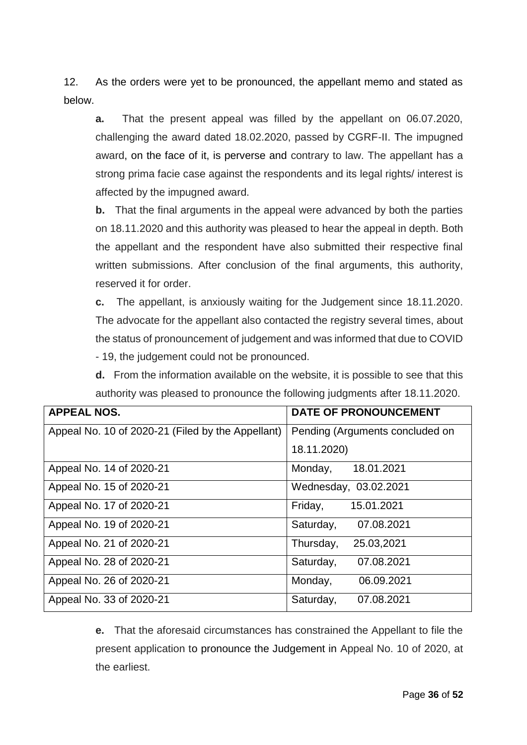12. As the orders were yet to be pronounced, the appellant memo and stated as below.

**a.** That the present appeal was filled by the appellant on 06.07.2020, challenging the award dated 18.02.2020, passed by CGRF-II. The impugned award, on the face of it, is perverse and contrary to law. The appellant has a strong prima facie case against the respondents and its legal rights/ interest is affected by the impugned award.

**b.** That the final arguments in the appeal were advanced by both the parties on 18.11.2020 and this authority was pleased to hear the appeal in depth. Both the appellant and the respondent have also submitted their respective final written submissions. After conclusion of the final arguments, this authority, reserved it for order.

**c.** The appellant, is anxiously waiting for the Judgement since 18.11.2020. The advocate for the appellant also contacted the registry several times, about the status of pronouncement of judgement and was informed that due to COVID

- 19, the judgement could not be pronounced.

**d.** From the information available on the website, it is possible to see that this authority was pleased to pronounce the following judgments after 18.11.2020.

| <b>APPEAL NOS.</b>                                | <b>DATE OF PRONOUNCEMENT</b>    |
|---------------------------------------------------|---------------------------------|
| Appeal No. 10 of 2020-21 (Filed by the Appellant) | Pending (Arguments concluded on |
|                                                   | 18.11.2020)                     |
| Appeal No. 14 of 2020-21                          | 18.01.2021<br>Monday,           |
| Appeal No. 15 of 2020-21                          | Wednesday, 03.02.2021           |
| Appeal No. 17 of 2020-21                          | Friday,<br>15.01.2021           |
| Appeal No. 19 of 2020-21                          | Saturday,<br>07.08.2021         |
| Appeal No. 21 of 2020-21                          | Thursday,<br>25.03,2021         |
| Appeal No. 28 of 2020-21                          | 07.08.2021<br>Saturday,         |
| Appeal No. 26 of 2020-21                          | Monday,<br>06.09.2021           |
| Appeal No. 33 of 2020-21                          | Saturday,<br>07.08.2021         |

**e.** That the aforesaid circumstances has constrained the Appellant to file the present application to pronounce the Judgement in Appeal No. 10 of 2020, at the earliest.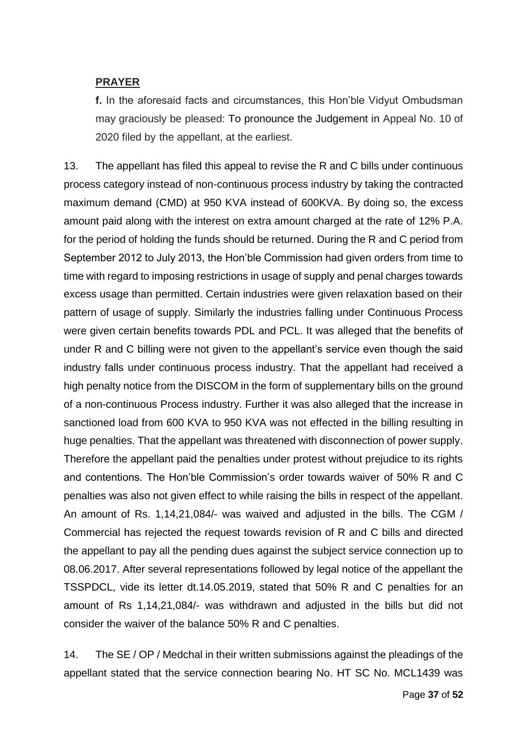## **PRAYER**

**f.** In the aforesaid facts and circumstances, this Hon'ble Vidyut Ombudsman may graciously be pleased: To pronounce the Judgement in Appeal No. 10 of 2020 filed by the appellant, at the earliest.

13. The appellant has filed this appeal to revise the R and C bills under continuous process category instead of non-continuous process industry by taking the contracted maximum demand (CMD) at 950 KVA instead of 600KVA. By doing so, the excess amount paid along with the interest on extra amount charged at the rate of 12% P.A. for the period of holding the funds should be returned. During the R and C period from September 2012 to July 2013, the Hon'ble Commission had given orders from time to time with regard to imposing restrictions in usage of supply and penal charges towards excess usage than permitted. Certain industries were given relaxation based on their pattern of usage of supply. Similarly the industries falling under Continuous Process were given certain benefits towards PDL and PCL. It was alleged that the benefits of under R and C billing were not given to the appellant's service even though the said industry falls under continuous process industry. That the appellant had received a high penalty notice from the DISCOM in the form of supplementary bills on the ground of a non-continuous Process industry. Further it was also alleged that the increase in sanctioned load from 600 KVA to 950 KVA was not effected in the billing resulting in huge penalties. That the appellant was threatened with disconnection of power supply. Therefore the appellant paid the penalties under protest without prejudice to its rights and contentions. The Hon'ble Commission's order towards waiver of 50% R and C penalties was also not given effect to while raising the bills in respect of the appellant. An amount of Rs. 1,14,21,084/- was waived and adjusted in the bills. The CGM / Commercial has rejected the request towards revision of R and C bills and directed the appellant to pay all the pending dues against the subject service connection up to 08.06.2017. After several representations followed by legal notice of the appellant the TSSPDCL, vide its letter dt.14.05.2019, stated that 50% R and C penalties for an amount of Rs 1,14,21,084/- was withdrawn and adjusted in the bills but did not consider the waiver of the balance 50% R and C penalties.

14. The SE / OP / Medchal in their written submissions against the pleadings of the appellant stated that the service connection bearing No. HT SC No. MCL1439 was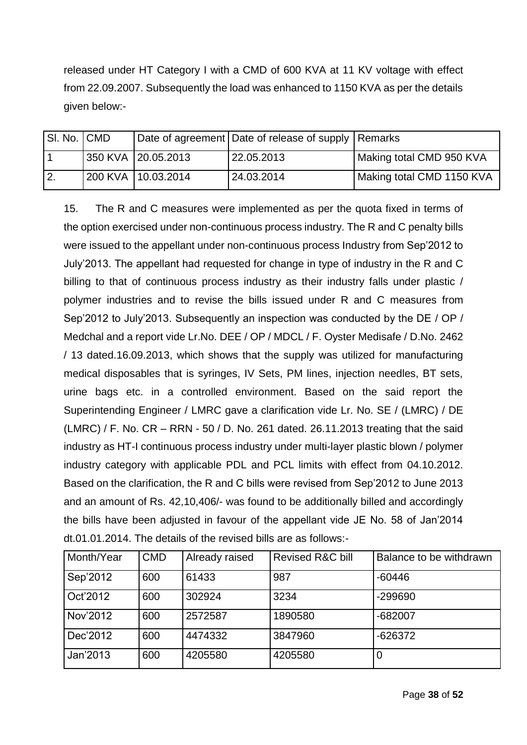released under HT Category I with a CMD of 600 KVA at 11 KV voltage with effect from 22.09.2007. Subsequently the load was enhanced to 1150 KVA as per the details given below:-

| SI. No. CMD      |                    | Date of agreement Date of release of supply Remarks |                           |
|------------------|--------------------|-----------------------------------------------------|---------------------------|
|                  | 350 KVA 20.05.2013 | 22.05.2013                                          | Making total CMD 950 KVA  |
| $\overline{2}$ . | 200 KVA 10.03.2014 | 24.03.2014                                          | Making total CMD 1150 KVA |

15. The R and C measures were implemented as per the quota fixed in terms of the option exercised under non-continuous process industry. The R and C penalty bills were issued to the appellant under non-continuous process Industry from Sep'2012 to July'2013. The appellant had requested for change in type of industry in the R and C billing to that of continuous process industry as their industry falls under plastic / polymer industries and to revise the bills issued under R and C measures from Sep'2012 to July'2013. Subsequently an inspection was conducted by the DE / OP / Medchal and a report vide Lr.No. DEE / OP / MDCL / F. Oyster Medisafe / D.No. 2462 / 13 dated.16.09.2013, which shows that the supply was utilized for manufacturing medical disposables that is syringes, IV Sets, PM lines, injection needles, BT sets, urine bags etc. in a controlled environment. Based on the said report the Superintending Engineer / LMRC gave a clarification vide Lr. No. SE / (LMRC) / DE (LMRC) / F. No. CR – RRN - 50 / D. No. 261 dated. 26.11.2013 treating that the said industry as HT-I continuous process industry under multi-layer plastic blown / polymer industry category with applicable PDL and PCL limits with effect from 04.10.2012. Based on the clarification, the R and C bills were revised from Sep'2012 to June 2013 and an amount of Rs. 42,10,406/- was found to be additionally billed and accordingly the bills have been adjusted in favour of the appellant vide JE No. 58 of Jan'2014 dt.01.01.2014. The details of the revised bills are as follows:-

| Month/Year | <b>CMD</b> | Already raised | <b>Revised R&amp;C bill</b> | Balance to be withdrawn |
|------------|------------|----------------|-----------------------------|-------------------------|
| Sep'2012   | 600        | 61433          | 987                         | $-60446$                |
| Oct'2012   | 600        | 302924         | 3234                        | -299690                 |
| Nov'2012   | 600        | 2572587        | 1890580                     | $-682007$               |
| Dec'2012   | 600        | 4474332        | 3847960                     | $-626372$               |
| Jan'2013   | 600        | 4205580        | 4205580                     | 0                       |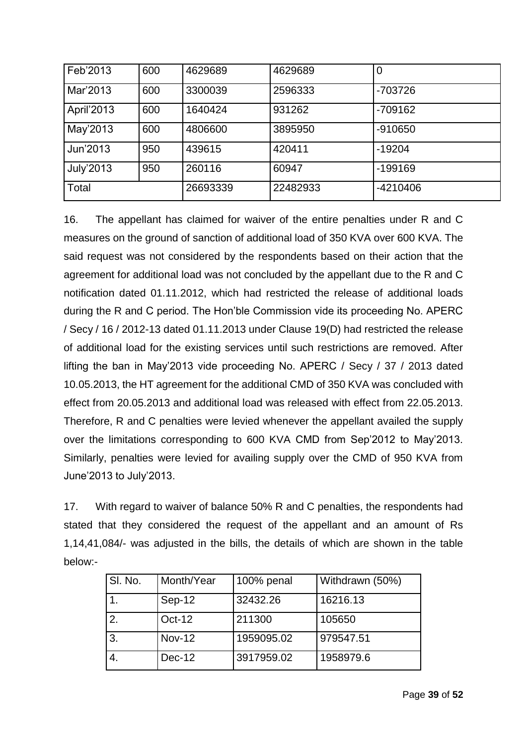| Feb'2013         | 600 | 4629689  | 4629689  | 0          |
|------------------|-----|----------|----------|------------|
| Mar'2013         | 600 | 3300039  | 2596333  | -703726    |
| April'2013       | 600 | 1640424  | 931262   | $-709162$  |
| May'2013         | 600 | 4806600  | 3895950  | $-910650$  |
| Jun'2013         | 950 | 439615   | 420411   | $-19204$   |
| <b>July'2013</b> | 950 | 260116   | 60947    | $-199169$  |
| Total            |     | 26693339 | 22482933 | $-4210406$ |

16. The appellant has claimed for waiver of the entire penalties under R and C measures on the ground of sanction of additional load of 350 KVA over 600 KVA. The said request was not considered by the respondents based on their action that the agreement for additional load was not concluded by the appellant due to the R and C notification dated 01.11.2012, which had restricted the release of additional loads during the R and C period. The Hon'ble Commission vide its proceeding No. APERC / Secy / 16 / 2012-13 dated 01.11.2013 under Clause 19(D) had restricted the release of additional load for the existing services until such restrictions are removed. After lifting the ban in May'2013 vide proceeding No. APERC / Secy / 37 / 2013 dated 10.05.2013, the HT agreement for the additional CMD of 350 KVA was concluded with effect from 20.05.2013 and additional load was released with effect from 22.05.2013. Therefore, R and C penalties were levied whenever the appellant availed the supply over the limitations corresponding to 600 KVA CMD from Sep'2012 to May'2013. Similarly, penalties were levied for availing supply over the CMD of 950 KVA from June'2013 to July'2013.

17. With regard to waiver of balance 50% R and C penalties, the respondents had stated that they considered the request of the appellant and an amount of Rs 1,14,41,084/- was adjusted in the bills, the details of which are shown in the table below:-

| SI. No. | Month/Year    | 100% penal | Withdrawn (50%) |
|---------|---------------|------------|-----------------|
|         | Sep-12        | 32432.26   | 16216.13        |
| 2.      | Oct-12        | 211300     | 105650          |
| 3.      | <b>Nov-12</b> | 1959095.02 | 979547.51       |
| 4.      | Dec-12        | 3917959.02 | 1958979.6       |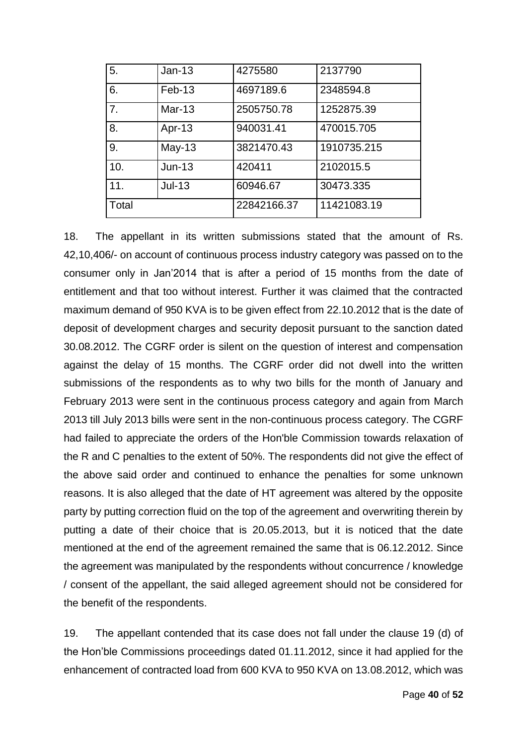| 5.    | $Jan-13$ | 4275580     | 2137790     |
|-------|----------|-------------|-------------|
| 6.    | Feb-13   | 4697189.6   | 2348594.8   |
| 7.    | Mar-13   | 2505750.78  | 1252875.39  |
| 8.    | Apr-13   | 940031.41   | 470015.705  |
| 9.    | $May-13$ | 3821470.43  | 1910735.215 |
| 10.   | $Jun-13$ | 420411      | 2102015.5   |
| 11.   | $Jul-13$ | 60946.67    | 30473.335   |
| Total |          | 22842166.37 | 11421083.19 |

18. The appellant in its written submissions stated that the amount of Rs. 42,10,406/- on account of continuous process industry category was passed on to the consumer only in Jan'2014 that is after a period of 15 months from the date of entitlement and that too without interest. Further it was claimed that the contracted maximum demand of 950 KVA is to be given effect from 22.10.2012 that is the date of deposit of development charges and security deposit pursuant to the sanction dated 30.08.2012. The CGRF order is silent on the question of interest and compensation against the delay of 15 months. The CGRF order did not dwell into the written submissions of the respondents as to why two bills for the month of January and February 2013 were sent in the continuous process category and again from March 2013 till July 2013 bills were sent in the non-continuous process category. The CGRF had failed to appreciate the orders of the Hon'ble Commission towards relaxation of the R and C penalties to the extent of 50%. The respondents did not give the effect of the above said order and continued to enhance the penalties for some unknown reasons. It is also alleged that the date of HT agreement was altered by the opposite party by putting correction fluid on the top of the agreement and overwriting therein by putting a date of their choice that is 20.05.2013, but it is noticed that the date mentioned at the end of the agreement remained the same that is 06.12.2012. Since the agreement was manipulated by the respondents without concurrence / knowledge / consent of the appellant, the said alleged agreement should not be considered for the benefit of the respondents.

19. The appellant contended that its case does not fall under the clause 19 (d) of the Hon'ble Commissions proceedings dated 01.11.2012, since it had applied for the enhancement of contracted load from 600 KVA to 950 KVA on 13.08.2012, which was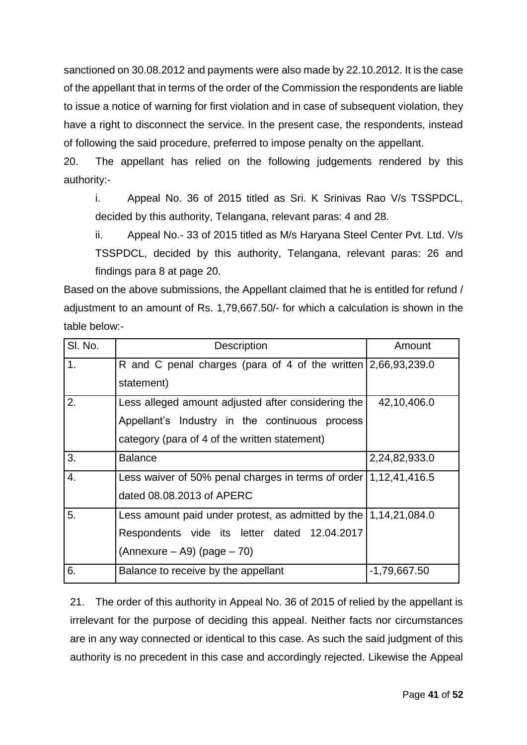sanctioned on 30.08.2012 and payments were also made by 22.10.2012. It is the case of the appellant that in terms of the order of the Commission the respondents are liable to issue a notice of warning for first violation and in case of subsequent violation, they have a right to disconnect the service. In the present case, the respondents, instead of following the said procedure, preferred to impose penalty on the appellant.

20. The appellant has relied on the following judgements rendered by this authority:-

i. Appeal No. 36 of 2015 titled as Sri. K Srinivas Rao V/s TSSPDCL, decided by this authority, Telangana, relevant paras: 4 and 28.

ii. Appeal No.- 33 of 2015 titled as M/s Haryana Steel Center Pvt. Ltd. V/s TSSPDCL, decided by this authority, Telangana, relevant paras: 26 and findings para 8 at page 20.

Based on the above submissions, the Appellant claimed that he is entitled for refund / adjustment to an amount of Rs. 1,79,667.50/- for which a calculation is shown in the table below:-

| SI. No. | <b>Description</b>                                                           | Amount        |
|---------|------------------------------------------------------------------------------|---------------|
| 1.      | R and C penal charges (para of 4 of the written $\left[2,66,93,239.0\right]$ |               |
|         | statement)                                                                   |               |
| 2.      | Less alleged amount adjusted after considering the                           | 42,10,406.0   |
|         | Appellant's Industry in the continuous process                               |               |
|         | category (para of 4 of the written statement)                                |               |
| 3.      | <b>Balance</b>                                                               | 2,24,82,933.0 |
| 4.      | Less waiver of 50% penal charges in terms of order $(1,12,41,416.5)$         |               |
|         | dated 08.08.2013 of APERC                                                    |               |
| 5.      | Less amount paid under protest, as admitted by the $\vert 1,14,21,084.0$     |               |
|         | Respondents vide its letter dated 12.04.2017                                 |               |
|         | $(Annexure - A9)$ (page $- 70$ )                                             |               |
| 6.      | Balance to receive by the appellant                                          | -1,79,667.50  |

21. The order of this authority in Appeal No. 36 of 2015 of relied by the appellant is irrelevant for the purpose of deciding this appeal. Neither facts nor circumstances are in any way connected or identical to this case. As such the said judgment of this authority is no precedent in this case and accordingly rejected. Likewise the Appeal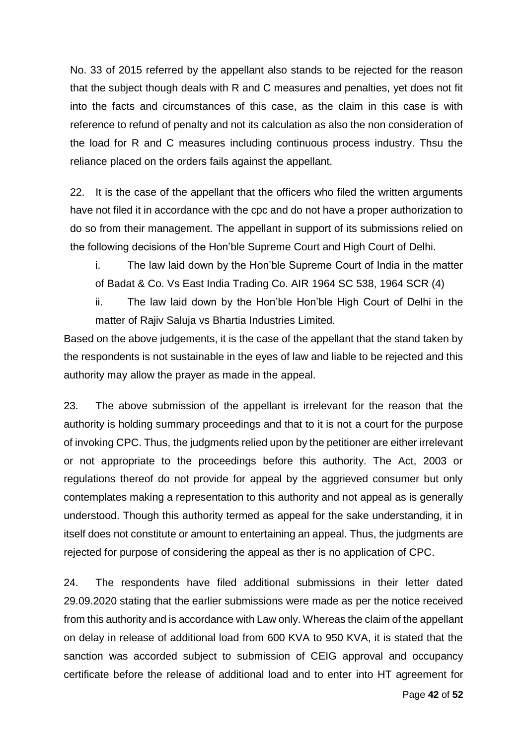No. 33 of 2015 referred by the appellant also stands to be rejected for the reason that the subject though deals with R and C measures and penalties, yet does not fit into the facts and circumstances of this case, as the claim in this case is with reference to refund of penalty and not its calculation as also the non consideration of the load for R and C measures including continuous process industry. Thsu the reliance placed on the orders fails against the appellant.

22. It is the case of the appellant that the officers who filed the written arguments have not filed it in accordance with the cpc and do not have a proper authorization to do so from their management. The appellant in support of its submissions relied on the following decisions of the Hon'ble Supreme Court and High Court of Delhi.

i. The law laid down by the Hon'ble Supreme Court of India in the matter of Badat & Co. Vs East India Trading Co. AIR 1964 SC 538, 1964 SCR (4)

ii. The law laid down by the Hon'ble Hon'ble High Court of Delhi in the matter of Rajiv Saluja vs Bhartia Industries Limited.

Based on the above judgements, it is the case of the appellant that the stand taken by the respondents is not sustainable in the eyes of law and liable to be rejected and this authority may allow the prayer as made in the appeal.

23. The above submission of the appellant is irrelevant for the reason that the authority is holding summary proceedings and that to it is not a court for the purpose of invoking CPC. Thus, the judgments relied upon by the petitioner are either irrelevant or not appropriate to the proceedings before this authority. The Act, 2003 or regulations thereof do not provide for appeal by the aggrieved consumer but only contemplates making a representation to this authority and not appeal as is generally understood. Though this authority termed as appeal for the sake understanding, it in itself does not constitute or amount to entertaining an appeal. Thus, the judgments are rejected for purpose of considering the appeal as ther is no application of CPC.

24. The respondents have filed additional submissions in their letter dated 29.09.2020 stating that the earlier submissions were made as per the notice received from this authority and is accordance with Law only. Whereas the claim of the appellant on delay in release of additional load from 600 KVA to 950 KVA, it is stated that the sanction was accorded subject to submission of CEIG approval and occupancy certificate before the release of additional load and to enter into HT agreement for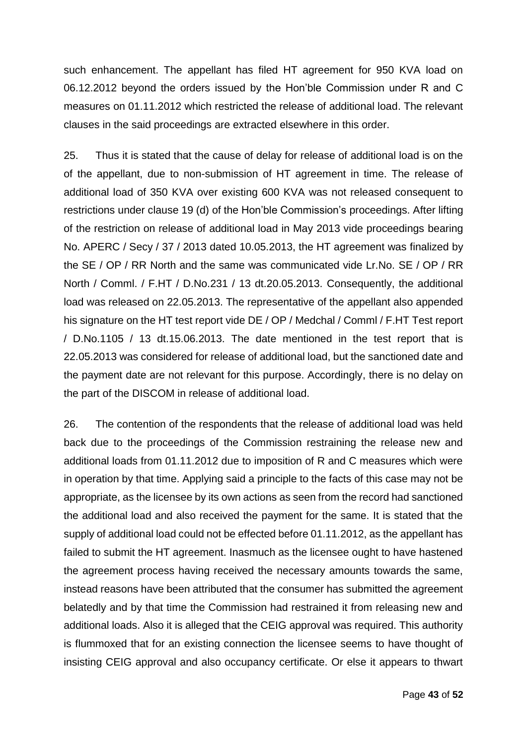such enhancement. The appellant has filed HT agreement for 950 KVA load on 06.12.2012 beyond the orders issued by the Hon'ble Commission under R and C measures on 01.11.2012 which restricted the release of additional load. The relevant clauses in the said proceedings are extracted elsewhere in this order.

25. Thus it is stated that the cause of delay for release of additional load is on the of the appellant, due to non-submission of HT agreement in time. The release of additional load of 350 KVA over existing 600 KVA was not released consequent to restrictions under clause 19 (d) of the Hon'ble Commission's proceedings. After lifting of the restriction on release of additional load in May 2013 vide proceedings bearing No. APERC / Secy / 37 / 2013 dated 10.05.2013, the HT agreement was finalized by the SE / OP / RR North and the same was communicated vide Lr.No. SE / OP / RR North / Comml. / F.HT / D.No.231 / 13 dt.20.05.2013. Consequently, the additional load was released on 22.05.2013. The representative of the appellant also appended his signature on the HT test report vide DE / OP / Medchal / Comml / F.HT Test report / D.No.1105 / 13 dt.15.06.2013. The date mentioned in the test report that is 22.05.2013 was considered for release of additional load, but the sanctioned date and the payment date are not relevant for this purpose. Accordingly, there is no delay on the part of the DISCOM in release of additional load.

26. The contention of the respondents that the release of additional load was held back due to the proceedings of the Commission restraining the release new and additional loads from 01.11.2012 due to imposition of R and C measures which were in operation by that time. Applying said a principle to the facts of this case may not be appropriate, as the licensee by its own actions as seen from the record had sanctioned the additional load and also received the payment for the same. It is stated that the supply of additional load could not be effected before 01.11.2012, as the appellant has failed to submit the HT agreement. Inasmuch as the licensee ought to have hastened the agreement process having received the necessary amounts towards the same, instead reasons have been attributed that the consumer has submitted the agreement belatedly and by that time the Commission had restrained it from releasing new and additional loads. Also it is alleged that the CEIG approval was required. This authority is flummoxed that for an existing connection the licensee seems to have thought of insisting CEIG approval and also occupancy certificate. Or else it appears to thwart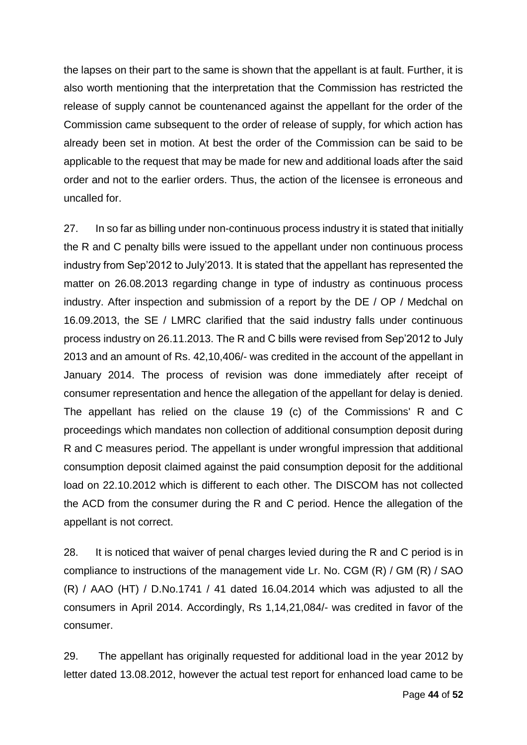the lapses on their part to the same is shown that the appellant is at fault. Further, it is also worth mentioning that the interpretation that the Commission has restricted the release of supply cannot be countenanced against the appellant for the order of the Commission came subsequent to the order of release of supply, for which action has already been set in motion. At best the order of the Commission can be said to be applicable to the request that may be made for new and additional loads after the said order and not to the earlier orders. Thus, the action of the licensee is erroneous and uncalled for.

27. In so far as billing under non-continuous process industry it is stated that initially the R and C penalty bills were issued to the appellant under non continuous process industry from Sep'2012 to July'2013. It is stated that the appellant has represented the matter on 26.08.2013 regarding change in type of industry as continuous process industry. After inspection and submission of a report by the DE / OP / Medchal on 16.09.2013, the SE / LMRC clarified that the said industry falls under continuous process industry on 26.11.2013. The R and C bills were revised from Sep'2012 to July 2013 and an amount of Rs. 42,10,406/- was credited in the account of the appellant in January 2014. The process of revision was done immediately after receipt of consumer representation and hence the allegation of the appellant for delay is denied. The appellant has relied on the clause 19 (c) of the Commissions' R and C proceedings which mandates non collection of additional consumption deposit during R and C measures period. The appellant is under wrongful impression that additional consumption deposit claimed against the paid consumption deposit for the additional load on 22.10.2012 which is different to each other. The DISCOM has not collected the ACD from the consumer during the R and C period. Hence the allegation of the appellant is not correct.

28. It is noticed that waiver of penal charges levied during the R and C period is in compliance to instructions of the management vide Lr. No. CGM (R) / GM (R) / SAO  $(R)$  / AAO (HT) / D.No.1741 / 41 dated 16.04.2014 which was adjusted to all the consumers in April 2014. Accordingly, Rs 1,14,21,084/- was credited in favor of the consumer.

29. The appellant has originally requested for additional load in the year 2012 by letter dated 13.08.2012, however the actual test report for enhanced load came to be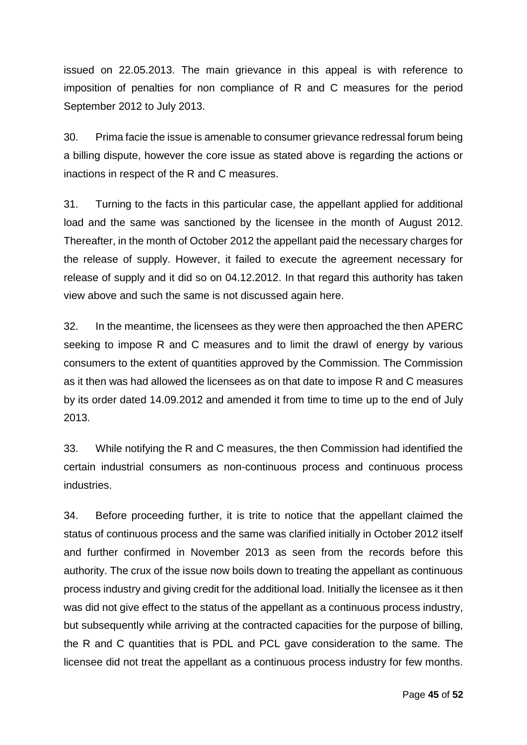issued on 22.05.2013. The main grievance in this appeal is with reference to imposition of penalties for non compliance of R and C measures for the period September 2012 to July 2013.

30. Prima facie the issue is amenable to consumer grievance redressal forum being a billing dispute, however the core issue as stated above is regarding the actions or inactions in respect of the R and C measures.

31. Turning to the facts in this particular case, the appellant applied for additional load and the same was sanctioned by the licensee in the month of August 2012. Thereafter, in the month of October 2012 the appellant paid the necessary charges for the release of supply. However, it failed to execute the agreement necessary for release of supply and it did so on 04.12.2012. In that regard this authority has taken view above and such the same is not discussed again here.

32. In the meantime, the licensees as they were then approached the then APERC seeking to impose R and C measures and to limit the drawl of energy by various consumers to the extent of quantities approved by the Commission. The Commission as it then was had allowed the licensees as on that date to impose R and C measures by its order dated 14.09.2012 and amended it from time to time up to the end of July 2013.

33. While notifying the R and C measures, the then Commission had identified the certain industrial consumers as non-continuous process and continuous process industries.

34. Before proceeding further, it is trite to notice that the appellant claimed the status of continuous process and the same was clarified initially in October 2012 itself and further confirmed in November 2013 as seen from the records before this authority. The crux of the issue now boils down to treating the appellant as continuous process industry and giving credit for the additional load. Initially the licensee as it then was did not give effect to the status of the appellant as a continuous process industry, but subsequently while arriving at the contracted capacities for the purpose of billing, the R and C quantities that is PDL and PCL gave consideration to the same. The licensee did not treat the appellant as a continuous process industry for few months.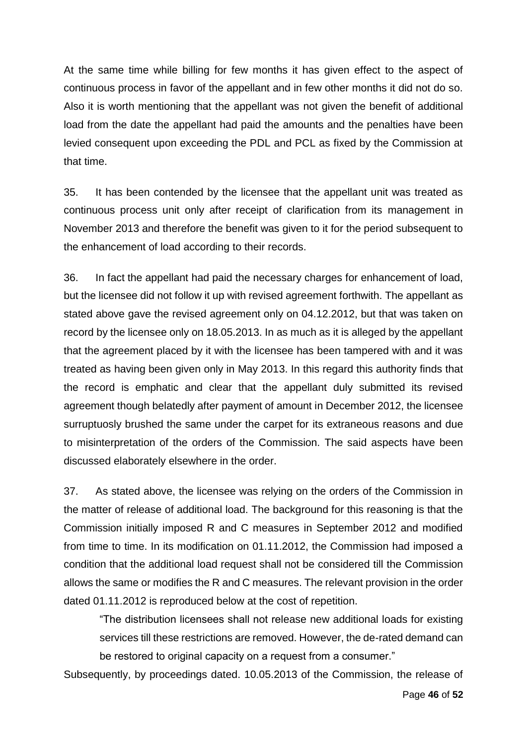At the same time while billing for few months it has given effect to the aspect of continuous process in favor of the appellant and in few other months it did not do so. Also it is worth mentioning that the appellant was not given the benefit of additional load from the date the appellant had paid the amounts and the penalties have been levied consequent upon exceeding the PDL and PCL as fixed by the Commission at that time.

35. It has been contended by the licensee that the appellant unit was treated as continuous process unit only after receipt of clarification from its management in November 2013 and therefore the benefit was given to it for the period subsequent to the enhancement of load according to their records.

36. In fact the appellant had paid the necessary charges for enhancement of load, but the licensee did not follow it up with revised agreement forthwith. The appellant as stated above gave the revised agreement only on 04.12.2012, but that was taken on record by the licensee only on 18.05.2013. In as much as it is alleged by the appellant that the agreement placed by it with the licensee has been tampered with and it was treated as having been given only in May 2013. In this regard this authority finds that the record is emphatic and clear that the appellant duly submitted its revised agreement though belatedly after payment of amount in December 2012, the licensee surruptuosly brushed the same under the carpet for its extraneous reasons and due to misinterpretation of the orders of the Commission. The said aspects have been discussed elaborately elsewhere in the order.

37. As stated above, the licensee was relying on the orders of the Commission in the matter of release of additional load. The background for this reasoning is that the Commission initially imposed R and C measures in September 2012 and modified from time to time. In its modification on 01.11.2012, the Commission had imposed a condition that the additional load request shall not be considered till the Commission allows the same or modifies the R and C measures. The relevant provision in the order dated 01.11.2012 is reproduced below at the cost of repetition.

"The distribution licensees shall not release new additional loads for existing services till these restrictions are removed. However, the de-rated demand can be restored to original capacity on a request from a consumer."

Subsequently, by proceedings dated. 10.05.2013 of the Commission, the release of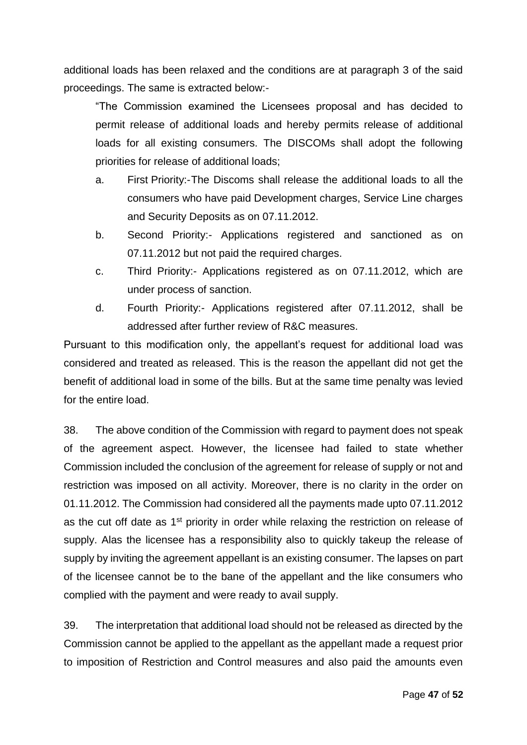additional loads has been relaxed and the conditions are at paragraph 3 of the said proceedings. The same is extracted below:-

"The Commission examined the Licensees proposal and has decided to permit release of additional loads and hereby permits release of additional loads for all existing consumers. The DISCOMs shall adopt the following priorities for release of additional loads;

- a. First Priority:-The Discoms shall release the additional loads to all the consumers who have paid Development charges, Service Line charges and Security Deposits as on 07.11.2012.
- b. Second Priority:- Applications registered and sanctioned as on 07.11.2012 but not paid the required charges.
- c. Third Priority:- Applications registered as on 07.11.2012, which are under process of sanction.
- d. Fourth Priority:- Applications registered after 07.11.2012, shall be addressed after further review of R&C measures.

Pursuant to this modification only, the appellant's request for additional load was considered and treated as released. This is the reason the appellant did not get the benefit of additional load in some of the bills. But at the same time penalty was levied for the entire load.

38. The above condition of the Commission with regard to payment does not speak of the agreement aspect. However, the licensee had failed to state whether Commission included the conclusion of the agreement for release of supply or not and restriction was imposed on all activity. Moreover, there is no clarity in the order on 01.11.2012. The Commission had considered all the payments made upto 07.11.2012 as the cut off date as 1st priority in order while relaxing the restriction on release of supply. Alas the licensee has a responsibility also to quickly takeup the release of supply by inviting the agreement appellant is an existing consumer. The lapses on part of the licensee cannot be to the bane of the appellant and the like consumers who complied with the payment and were ready to avail supply.

39. The interpretation that additional load should not be released as directed by the Commission cannot be applied to the appellant as the appellant made a request prior to imposition of Restriction and Control measures and also paid the amounts even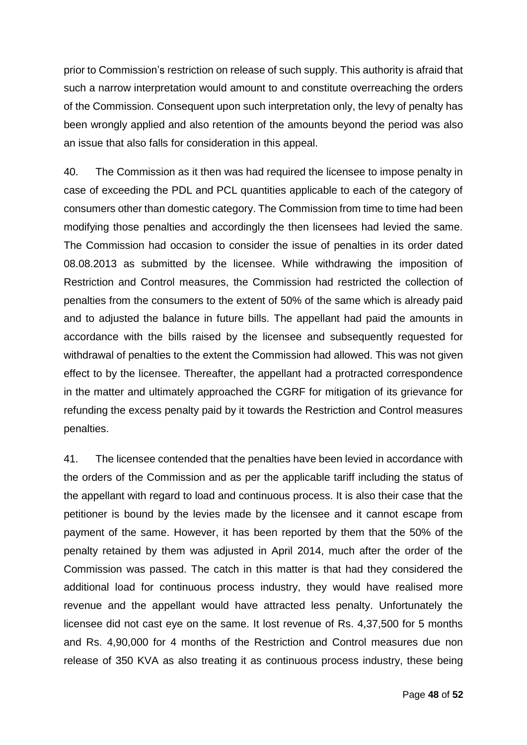prior to Commission's restriction on release of such supply. This authority is afraid that such a narrow interpretation would amount to and constitute overreaching the orders of the Commission. Consequent upon such interpretation only, the levy of penalty has been wrongly applied and also retention of the amounts beyond the period was also an issue that also falls for consideration in this appeal.

40. The Commission as it then was had required the licensee to impose penalty in case of exceeding the PDL and PCL quantities applicable to each of the category of consumers other than domestic category. The Commission from time to time had been modifying those penalties and accordingly the then licensees had levied the same. The Commission had occasion to consider the issue of penalties in its order dated 08.08.2013 as submitted by the licensee. While withdrawing the imposition of Restriction and Control measures, the Commission had restricted the collection of penalties from the consumers to the extent of 50% of the same which is already paid and to adjusted the balance in future bills. The appellant had paid the amounts in accordance with the bills raised by the licensee and subsequently requested for withdrawal of penalties to the extent the Commission had allowed. This was not given effect to by the licensee. Thereafter, the appellant had a protracted correspondence in the matter and ultimately approached the CGRF for mitigation of its grievance for refunding the excess penalty paid by it towards the Restriction and Control measures penalties.

41. The licensee contended that the penalties have been levied in accordance with the orders of the Commission and as per the applicable tariff including the status of the appellant with regard to load and continuous process. It is also their case that the petitioner is bound by the levies made by the licensee and it cannot escape from payment of the same. However, it has been reported by them that the 50% of the penalty retained by them was adjusted in April 2014, much after the order of the Commission was passed. The catch in this matter is that had they considered the additional load for continuous process industry, they would have realised more revenue and the appellant would have attracted less penalty. Unfortunately the licensee did not cast eye on the same. It lost revenue of Rs. 4,37,500 for 5 months and Rs. 4,90,000 for 4 months of the Restriction and Control measures due non release of 350 KVA as also treating it as continuous process industry, these being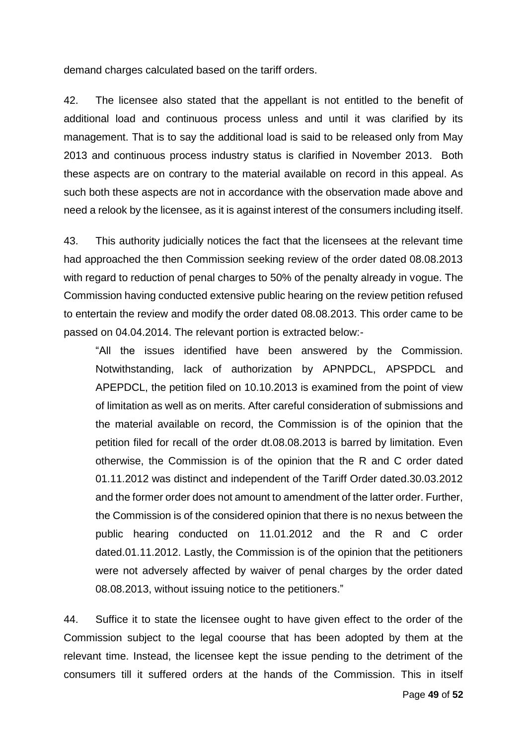demand charges calculated based on the tariff orders.

42. The licensee also stated that the appellant is not entitled to the benefit of additional load and continuous process unless and until it was clarified by its management. That is to say the additional load is said to be released only from May 2013 and continuous process industry status is clarified in November 2013. Both these aspects are on contrary to the material available on record in this appeal. As such both these aspects are not in accordance with the observation made above and need a relook by the licensee, as it is against interest of the consumers including itself.

43. This authority judicially notices the fact that the licensees at the relevant time had approached the then Commission seeking review of the order dated 08.08.2013 with regard to reduction of penal charges to 50% of the penalty already in vogue. The Commission having conducted extensive public hearing on the review petition refused to entertain the review and modify the order dated 08.08.2013. This order came to be passed on 04.04.2014. The relevant portion is extracted below:-

"All the issues identified have been answered by the Commission. Notwithstanding, lack of authorization by APNPDCL, APSPDCL and APEPDCL, the petition filed on 10.10.2013 is examined from the point of view of limitation as well as on merits. After careful consideration of submissions and the material available on record, the Commission is of the opinion that the petition filed for recall of the order dt.08.08.2013 is barred by limitation. Even otherwise, the Commission is of the opinion that the R and C order dated 01.11.2012 was distinct and independent of the Tariff Order dated.30.03.2012 and the former order does not amount to amendment of the latter order. Further, the Commission is of the considered opinion that there is no nexus between the public hearing conducted on 11.01.2012 and the R and C order dated.01.11.2012. Lastly, the Commission is of the opinion that the petitioners were not adversely affected by waiver of penal charges by the order dated 08.08.2013, without issuing notice to the petitioners."

44. Suffice it to state the licensee ought to have given effect to the order of the Commission subject to the legal coourse that has been adopted by them at the relevant time. Instead, the licensee kept the issue pending to the detriment of the consumers till it suffered orders at the hands of the Commission. This in itself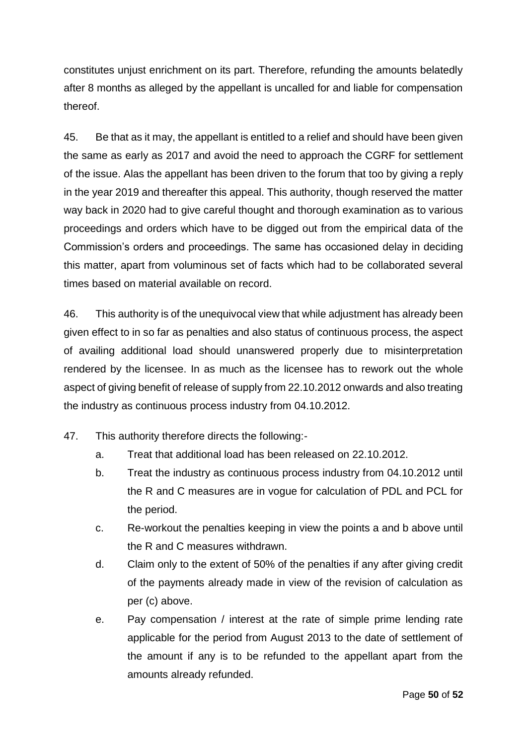constitutes unjust enrichment on its part. Therefore, refunding the amounts belatedly after 8 months as alleged by the appellant is uncalled for and liable for compensation thereof.

45. Be that as it may, the appellant is entitled to a relief and should have been given the same as early as 2017 and avoid the need to approach the CGRF for settlement of the issue. Alas the appellant has been driven to the forum that too by giving a reply in the year 2019 and thereafter this appeal. This authority, though reserved the matter way back in 2020 had to give careful thought and thorough examination as to various proceedings and orders which have to be digged out from the empirical data of the Commission's orders and proceedings. The same has occasioned delay in deciding this matter, apart from voluminous set of facts which had to be collaborated several times based on material available on record.

46. This authority is of the unequivocal view that while adjustment has already been given effect to in so far as penalties and also status of continuous process, the aspect of availing additional load should unanswered properly due to misinterpretation rendered by the licensee. In as much as the licensee has to rework out the whole aspect of giving benefit of release of supply from 22.10.2012 onwards and also treating the industry as continuous process industry from 04.10.2012.

- 47. This authority therefore directs the following:
	- a. Treat that additional load has been released on 22.10.2012.
	- b. Treat the industry as continuous process industry from 04.10.2012 until the R and C measures are in vogue for calculation of PDL and PCL for the period.
	- c. Re-workout the penalties keeping in view the points a and b above until the R and C measures withdrawn.
	- d. Claim only to the extent of 50% of the penalties if any after giving credit of the payments already made in view of the revision of calculation as per (c) above.
	- e. Pay compensation / interest at the rate of simple prime lending rate applicable for the period from August 2013 to the date of settlement of the amount if any is to be refunded to the appellant apart from the amounts already refunded.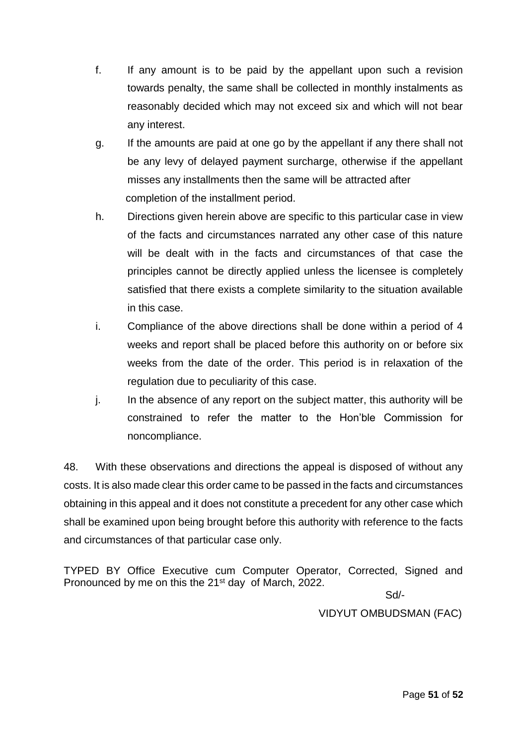- f. If any amount is to be paid by the appellant upon such a revision towards penalty, the same shall be collected in monthly instalments as reasonably decided which may not exceed six and which will not bear any interest.
- g. If the amounts are paid at one go by the appellant if any there shall not be any levy of delayed payment surcharge, otherwise if the appellant misses any installments then the same will be attracted after completion of the installment period.
- h. Directions given herein above are specific to this particular case in view of the facts and circumstances narrated any other case of this nature will be dealt with in the facts and circumstances of that case the principles cannot be directly applied unless the licensee is completely satisfied that there exists a complete similarity to the situation available in this case.
- i. Compliance of the above directions shall be done within a period of 4 weeks and report shall be placed before this authority on or before six weeks from the date of the order. This period is in relaxation of the regulation due to peculiarity of this case.
- j. In the absence of any report on the subject matter, this authority will be constrained to refer the matter to the Hon'ble Commission for noncompliance.

48. With these observations and directions the appeal is disposed of without any costs. It is also made clear this order came to be passed in the facts and circumstances obtaining in this appeal and it does not constitute a precedent for any other case which shall be examined upon being brought before this authority with reference to the facts and circumstances of that particular case only.

TYPED BY Office Executive cum Computer Operator, Corrected, Signed and Pronounced by me on this the 21<sup>st</sup> day of March, 2022.

Sd/-

VIDYUT OMBUDSMAN (FAC)